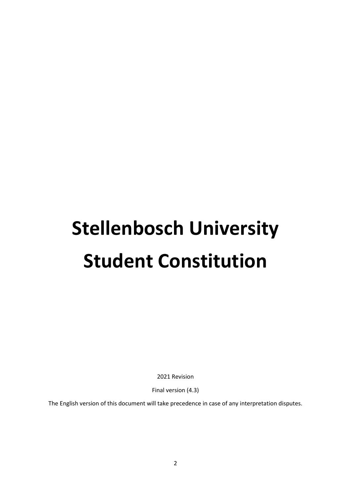# **Stellenbosch University Student Constitution**

2021 Revision

Final version (4.3)

The English version of this document will take precedence in case of any interpretation disputes.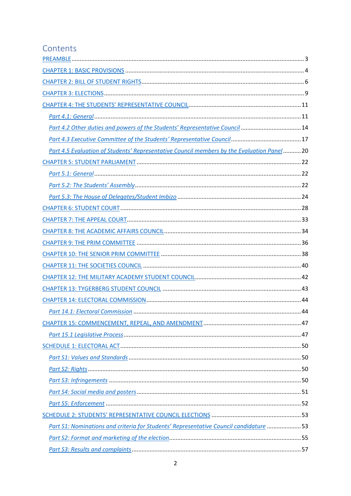# Contents

| Part 4.2 Other duties and powers of the Students' Representative Council  14              |  |
|-------------------------------------------------------------------------------------------|--|
|                                                                                           |  |
| Part 4.5 Evaluation of Students' Representative Council members by the Evaluation Panel20 |  |
|                                                                                           |  |
|                                                                                           |  |
|                                                                                           |  |
|                                                                                           |  |
|                                                                                           |  |
|                                                                                           |  |
|                                                                                           |  |
|                                                                                           |  |
|                                                                                           |  |
|                                                                                           |  |
|                                                                                           |  |
|                                                                                           |  |
|                                                                                           |  |
|                                                                                           |  |
|                                                                                           |  |
|                                                                                           |  |
|                                                                                           |  |
|                                                                                           |  |
|                                                                                           |  |
|                                                                                           |  |
|                                                                                           |  |
|                                                                                           |  |
|                                                                                           |  |
| Part S1: Nominations and criteria for Students' Representative Council candidature 53     |  |
|                                                                                           |  |
|                                                                                           |  |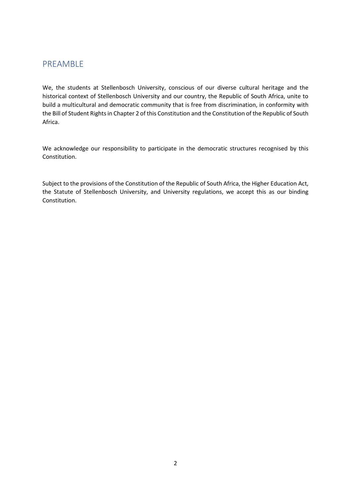# <span id="page-2-0"></span>PREAMBLE

We, the students at Stellenbosch University, conscious of our diverse cultural heritage and the historical context of Stellenbosch University and our country, the Republic of South Africa, unite to build a multicultural and democratic community that is free from discrimination, in conformity with the Bill of Student Rights in Chapter 2 of this Constitution and the Constitution of the Republic of South Africa.

We acknowledge our responsibility to participate in the democratic structures recognised by this Constitution.

Subject to the provisions of the Constitution of the Republic of South Africa, the Higher Education Act, the Statute of Stellenbosch University, and University regulations, we accept this as our binding Constitution.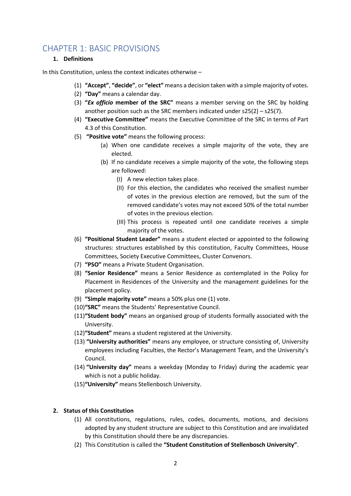# <span id="page-3-0"></span>CHAPTER 1: BASIC PROVISIONS

#### **1. Definitions**

In this Constitution, unless the context indicates otherwise –

- (1) **"Accept"**, **"decide"**, or **"elect"** means a decision taken with a simple majority of votes.
- (2) **"Day"** means a calendar day.
- (3) **"***Ex officio* **member of the SRC"** means a member serving on the SRC by holding another position such as the SRC members indicated under s25(2) – s25(7).
- (4) **"Executive Committee"** means the Executive Committee of the SRC in terms of Part 4.3 of this Constitution.
- (5) **"Positive vote"** means the following process:
	- (a) When one candidate receives a simple majority of the vote, they are elected.
	- (b) If no candidate receives a simple majority of the vote, the following steps are followed:
		- (I) A new election takes place.
		- (II) For this election, the candidates who received the smallest number of votes in the previous election are removed, but the sum of the removed candidate's votes may not exceed 50% of the total number of votes in the previous election.
		- (III) This process is repeated until one candidate receives a simple majority of the votes.
- (6) **"Positional Student Leader"** means a student elected or appointed to the following structures: structures established by this constitution, Faculty Committees, House Committees, Society Executive Committees, Cluster Convenors.
- (7) **"PSO"** means a Private Student Organisation.
- (8) **"Senior Residence"** means a Senior Residence as contemplated in the Policy for Placement in Residences of the University and the management guidelines for the placement policy.
- (9) **"Simple majority vote"** means a 50% plus one (1) vote.
- (10)**"SRC"** means the Students' Representative Council.
- (11)**"Student body"** means an organised group of students formally associated with the University.
- (12)**"Student"** means a student registered at the University.
- (13) **"University authorities"** means any employee, or structure consisting of, University employees including Faculties, the Rector's Management Team, and the University's Council.
- (14) **"University day"** means a weekday (Monday to Friday) during the academic year which is not a public holiday.
- (15)**"University"** means Stellenbosch University.

# **2. Status of this Constitution**

- (1) All constitutions, regulations, rules, codes, documents, motions, and decisions adopted by any student structure are subject to this Constitution and are invalidated by this Constitution should there be any discrepancies.
- (2) This Constitution is called the **"Student Constitution of Stellenbosch University"**.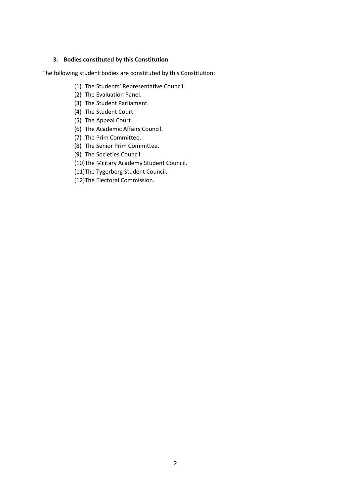#### **3. Bodies constituted by this Constitution**

The following student bodies are constituted by this Constitution:

- (1) The Students' Representative Council.
- (2) The Evaluation Panel.
- (3) The Student Parliament.
- (4) The Student Court.
- (5) The Appeal Court.
- (6) The Academic Affairs Council.
- (7) The Prim Committee.
- (8) The Senior Prim Committee.
- (9) The Societies Council.
- (10)The Military Academy Student Council.
- (11)The Tygerberg Student Council.
- (12)The Electoral Commission.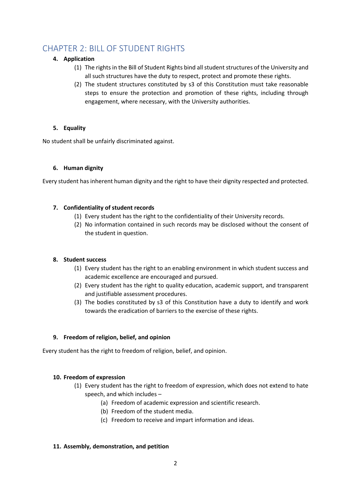# <span id="page-5-0"></span>CHAPTER 2: BILL OF STUDENT RIGHTS

# **4. Application**

- (1) The rights in the Bill of Student Rights bind all student structures of the University and all such structures have the duty to respect, protect and promote these rights.
- (2) The student structures constituted by s3 of this Constitution must take reasonable steps to ensure the protection and promotion of these rights, including through engagement, where necessary, with the University authorities.

# **5. Equality**

No student shall be unfairly discriminated against.

# **6. Human dignity**

Every student hasinherent human dignity and the right to have their dignity respected and protected.

# **7. Confidentiality of student records**

- (1) Every student has the right to the confidentiality of their University records.
- (2) No information contained in such records may be disclosed without the consent of the student in question.

# **8. Student success**

- (1) Every student has the right to an enabling environment in which student success and academic excellence are encouraged and pursued.
- (2) Every student has the right to quality education, academic support, and transparent and justifiable assessment procedures.
- (3) The bodies constituted by s3 of this Constitution have a duty to identify and work towards the eradication of barriers to the exercise of these rights.

# **9. Freedom of religion, belief, and opinion**

Every student has the right to freedom of religion, belief, and opinion.

# **10. Freedom of expression**

- (1) Every student has the right to freedom of expression, which does not extend to hate speech, and which includes –
	- (a) Freedom of academic expression and scientific research.
	- (b) Freedom of the student media.
	- (c) Freedom to receive and impart information and ideas.

# **11. Assembly, demonstration, and petition**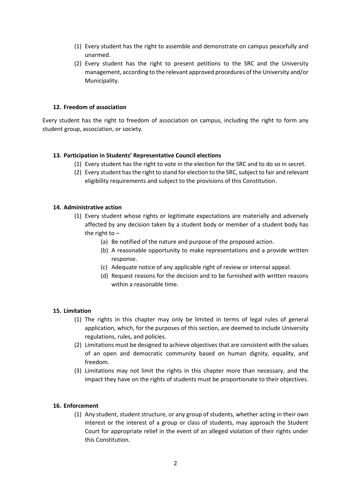- (1) Every student has the right to assemble and demonstrate on campus peacefully and unarmed.
- (2) Every student has the right to present petitions to the SRC and the University management, according to the relevant approved procedures of the University and/or Municipality.

#### **12. Freedom of association**

Every student has the right to freedom of association on campus, including the right to form any student group, association, or society.

#### **13. Participation in Students' Representative Council elections**

- (1) Every student has the right to vote in the election for the SRC and to do so in secret.
- (2) Every student has the right to stand for election to the SRC, subject to fair and relevant eligibility requirements and subject to the provisions of this Constitution.

#### **14. Administrative action**

- (1) Every student whose rights or legitimate expectations are materially and adversely affected by any decision taken by a student body or member of a student body has the right to –
	- (a) Be notified of the nature and purpose of the proposed action.
	- (b) A reasonable opportunity to make representations and a provide written response.
	- (c) Adequate notice of any applicable right of review or internal appeal.
	- (d) Request reasons for the decision and to be furnished with written reasons within a reasonable time.

#### **15. Limitation**

- (1) The rights in this chapter may only be limited in terms of legal rules of general application, which, for the purposes of this section, are deemed to include University regulations, rules, and policies.
- (2) Limitations must be designed to achieve objectives that are consistent with the values of an open and democratic community based on human dignity, equality, and freedom.
- (3) Limitations may not limit the rights in this chapter more than necessary, and the impact they have on the rights of students must be proportionate to their objectives.

#### **16. Enforcement**

(1) Any student, student structure, or any group of students, whether acting in their own interest or the interest of a group or class of students, may approach the Student Court for appropriate relief in the event of an alleged violation of their rights under this Constitution.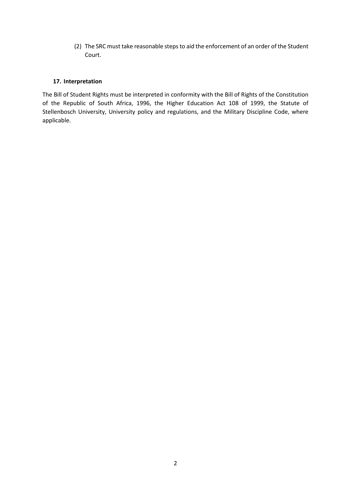(2) The SRC must take reasonable steps to aid the enforcement of an order of the Student Court.

#### **17. Interpretation**

The Bill of Student Rights must be interpreted in conformity with the Bill of Rights of the Constitution of the Republic of South Africa, 1996, the Higher Education Act 108 of 1999, the Statute of Stellenbosch University, University policy and regulations, and the Military Discipline Code, where applicable.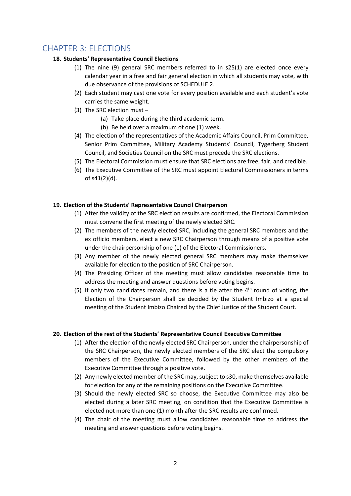# <span id="page-8-0"></span>CHAPTER 3: ELECTIONS

# **18. Students' Representative Council Elections**

- (1) The nine (9) general SRC members referred to in s25(1) are elected once every calendar year in a free and fair general election in which all students may vote, with due observance of the provisions of SCHEDULE 2.
- (2) Each student may cast one vote for every position available and each student's vote carries the same weight.
- (3) The SRC election must
	- (a) Take place during the third academic term.
	- (b) Be held over a maximum of one (1) week.
- (4) The election of the representatives of the Academic Affairs Council, Prim Committee, Senior Prim Committee, Military Academy Students' Council, Tygerberg Student Council, and Societies Council on the SRC must precede the SRC elections.
- (5) The Electoral Commission must ensure that SRC elections are free, fair, and credible.
- (6) The Executive Committee of the SRC must appoint Electoral Commissioners in terms of s41(2)(d).

#### **19. Election of the Students' Representative Council Chairperson**

- (1) After the validity of the SRC election results are confirmed, the Electoral Commission must convene the first meeting of the newly elected SRC.
- (2) The members of the newly elected SRC, including the general SRC members and the ex officio members, elect a new SRC Chairperson through means of a positive vote under the chairpersonship of one (1) of the Electoral Commissioners.
- (3) Any member of the newly elected general SRC members may make themselves available for election to the position of SRC Chairperson.
- (4) The Presiding Officer of the meeting must allow candidates reasonable time to address the meeting and answer questions before voting begins.
- (5) If only two candidates remain, and there is a tie after the  $4<sup>th</sup>$  round of voting, the Election of the Chairperson shall be decided by the Student Imbizo at a special meeting of the Student Imbizo Chaired by the Chief Justice of the Student Court.

#### **20. Election of the rest of the Students' Representative Council Executive Committee**

- (1) After the election of the newly elected SRC Chairperson, under the chairpersonship of the SRC Chairperson, the newly elected members of the SRC elect the compulsory members of the Executive Committee, followed by the other members of the Executive Committee through a positive vote.
- (2) Any newly elected member of the SRC may, subject to s30, make themselves available for election for any of the remaining positions on the Executive Committee.
- (3) Should the newly elected SRC so choose, the Executive Committee may also be elected during a later SRC meeting, on condition that the Executive Committee is elected not more than one (1) month after the SRC results are confirmed.
- (4) The chair of the meeting must allow candidates reasonable time to address the meeting and answer questions before voting begins.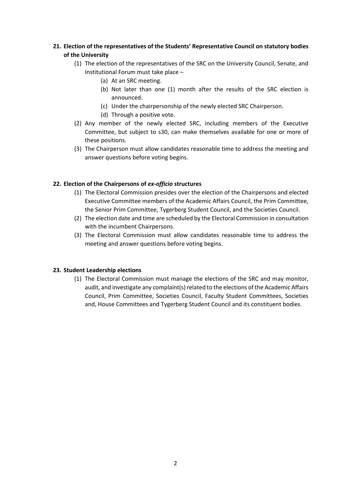# **21. Election of the representatives of the Students' Representative Council on statutory bodies of the University**

- (1) The election of the representatives of the SRC on the University Council, Senate, and Institutional Forum must take place –
	- (a) At an SRC meeting.
	- (b) Not later than one (1) month after the results of the SRC election is announced.
	- (c) Under the chairpersonship of the newly elected SRC Chairperson.
	- (d) Through a positive vote.
- (2) Any member of the newly elected SRC, including members of the Executive Committee, but subject to s30, can make themselves available for one or more of these positions.
- (3) The Chairperson must allow candidates reasonable time to address the meeting and answer questions before voting begins.

#### **22. Election of the Chairpersons of** *ex-officio* **structures**

- (1) The Electoral Commission presides over the election of the Chairpersons and elected Executive Committee members of the Academic Affairs Council, the Prim Committee, the Senior Prim Committee, Tygerberg Student Council, and the Societies Council.
- (2) The election date and time are scheduled by the Electoral Commission in consultation with the incumbent Chairpersons.
- (3) The Electoral Commission must allow candidates reasonable time to address the meeting and answer questions before voting begins.

#### **23. Student Leadership elections**

(1) The Electoral Commission must manage the elections of the SRC and may monitor, audit, and investigate any complaint(s) related to the elections of the Academic Affairs Council, Prim Committee, Societies Council, Faculty Student Committees, Societies and, House Committees and Tygerberg Student Council and its constituent bodies.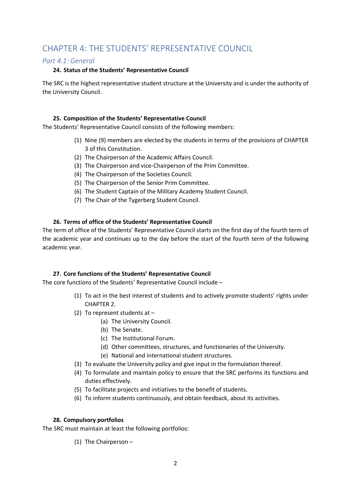# <span id="page-10-0"></span>CHAPTER 4: THE STUDENTS' REPRESENTATIVE COUNCIL

# <span id="page-10-1"></span>*Part 4.1: General*

#### **24. Status of the Students' Representative Council**

The SRC is the highest representative student structure at the University and is under the authority of the University Council.

#### **25. Composition of the Students' Representative Council**

The Students' Representative Council consists of the following members:

- (1) Nine (9) members are elected by the students in terms of the provisions of CHAPTER 3 of this Constitution.
- (2) The Chairperson of the Academic Affairs Council.
- (3) The Chairperson and vice-Chairperson of the Prim Committee.
- (4) The Chairperson of the Societies Council.
- (5) The Chairperson of the Senior Prim Committee.
- (6) The Student Captain of the Military Academy Student Council.
- (7) The Chair of the Tygerberg Student Council.

#### **26. Terms of office of the Students' Representative Council**

The term of office of the Students' Representative Council starts on the first day of the fourth term of the academic year and continues up to the day before the start of the fourth term of the following academic year.

# **27. Core functions of the Students' Representative Council**

The core functions of the Students' Representative Council include –

- (1) To act in the best interest of students and to actively promote students' rights under CHAPTER 2.
- (2) To represent students at
	- (a) The University Council.
	- (b) The Senate.
	- (c) The Institutional Forum.
	- (d) Other committees, structures, and functionaries of the University.
	- (e) National and international student structures.
- (3) To evaluate the University policy and give input in the formulation thereof.
- (4) To formulate and maintain policy to ensure that the SRC performs its functions and duties effectively.
- (5) To facilitate projects and initiatives to the benefit of students.
- (6) To inform students continuously, and obtain feedback, about its activities.

#### **28. Compulsory portfolios**

The SRC must maintain at least the following portfolios:

(1) The Chairperson –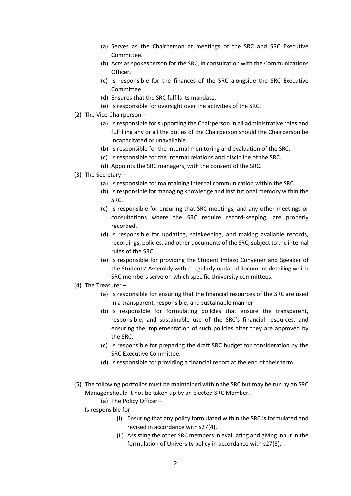- (a) Serves as the Chairperson at meetings of the SRC and SRC Executive Committee.
- (b) Acts as spokesperson for the SRC, in consultation with the Communications Officer.
- (c) Is responsible for the finances of the SRC alongside the SRC Executive Committee.
- (d) Ensures that the SRC fulfils its mandate.
- (e) Is responsible for oversight over the activities of the SRC.
- (2) The Vice-Chairperson
	- (a) Is responsible for supporting the Chairperson in all administrative roles and fulfilling any or all the duties of the Chairperson should the Chairperson be incapacitated or unavailable.
	- (b) Is responsible for the internal monitoring and evaluation of the SRC.
	- (c) Is responsible for the internal relations and discipline of the SRC.
	- (d) Appoints the SRC managers, with the consent of the SRC.
- (3) The Secretary
	- (a) Is responsible for maintaining internal communication within the SRC.
	- (b) Is responsible for managing knowledge and institutional memory within the SRC.
	- (c) Is responsible for ensuring that SRC meetings, and any other meetings or consultations where the SRC require record-keeping, are properly recorded.
	- (d) Is responsible for updating, safekeeping, and making available records, recordings, policies, and other documents of the SRC, subject to the internal rules of the SRC.
	- (e) Is responsible for providing the Student Imbizo Convener and Speaker of the Students' Assembly with a regularly updated document detailing which SRC members serve on which specific University committees.
- (4) The Treasurer
	- (a) Is responsible for ensuring that the financial resources of the SRC are used in a transparent, responsible, and sustainable manner.
	- (b) Is responsible for formulating policies that ensure the transparent, responsible, and sustainable use of the SRC's financial resources, and ensuring the implementation of such policies after they are approved by the SRC.
	- (c) Is responsible for preparing the draft SRC budget for consideration by the SRC Executive Committee.
	- (d) Is responsible for providing a financial report at the end of their term.
- (5) The following portfolios must be maintained within the SRC but may be run by an SRC Manager should it not be taken up by an elected SRC Member.
	- (a) The Policy Officer –
	- Is responsible for:
		- (I) Ensuring that any policy formulated within the SRC is formulated and revised in accordance with s27(4).
		- (II) Assisting the other SRC members in evaluating and giving input in the formulation of University policy in accordance with s27(3).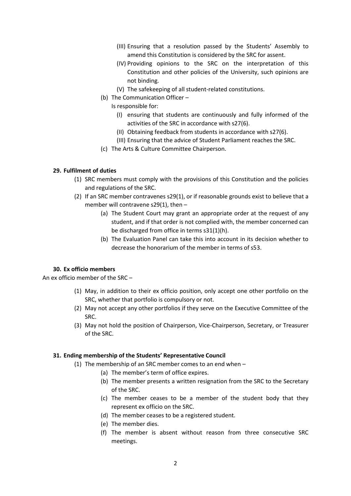- (III) Ensuring that a resolution passed by the Students' Assembly to amend this Constitution is considered by the SRC for assent.
- (IV) Providing opinions to the SRC on the interpretation of this Constitution and other policies of the University, such opinions are not binding.
- (V) The safekeeping of all student-related constitutions.
- (b) The Communication Officer
	- Is responsible for:
		- (I) ensuring that students are continuously and fully informed of the activities of the SRC in accordance with s27(6).
		- (II) Obtaining feedback from students in accordance with s27(6).
		- (III) Ensuring that the advice of Student Parliament reaches the SRC.
- (c) The Arts & Culture Committee Chairperson.

#### **29. Fulfilment of duties**

- (1) SRC members must comply with the provisions of this Constitution and the policies and regulations of the SRC.
- (2) If an SRC member contravenes s29(1), or if reasonable grounds exist to believe that a member will contravene s29(1), then  $-$ 
	- (a) The Student Court may grant an appropriate order at the request of any student, and if that order is not complied with, the member concerned can be discharged from office in terms s31(1)(h).
	- (b) The Evaluation Panel can take this into account in its decision whether to decrease the honorarium of the member in terms of s53.

#### **30. Ex officio members**

An ex officio member of the SRC –

- (1) May, in addition to their ex officio position, only accept one other portfolio on the SRC, whether that portfolio is compulsory or not.
- (2) May not accept any other portfolios if they serve on the Executive Committee of the SRC.
- (3) May not hold the position of Chairperson, Vice-Chairperson, Secretary, or Treasurer of the SRC.

#### **31. Ending membership of the Students' Representative Council**

- (1) The membership of an SRC member comes to an end when
	- (a) The member's term of office expires.
	- (b) The member presents a written resignation from the SRC to the Secretary of the SRC.
	- (c) The member ceases to be a member of the student body that they represent ex officio on the SRC.
	- (d) The member ceases to be a registered student.
	- (e) The member dies.
	- (f) The member is absent without reason from three consecutive SRC meetings.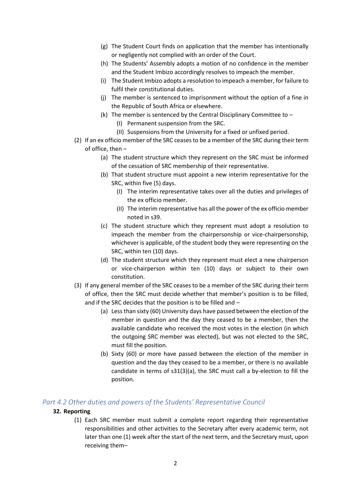- (g) The Student Court finds on application that the member has intentionally or negligently not complied with an order of the Court.
- (h) The Students' Assembly adopts a motion of no confidence in the member and the Student Imbizo accordingly resolves to impeach the member.
- (i) The Student Imbizo adopts a resolution to impeach a member, for failure to fulfil their constitutional duties.
- (j) The member is sentenced to imprisonment without the option of a fine in the Republic of South Africa or elsewhere.
- (k) The member is sentenced by the Central Disciplinary Committee to
	- (I) Permanent suspension from the SRC.
	- (II) Suspensions from the University for a fixed or unfixed period.
- (2) If an ex officio member of the SRC ceases to be a member of the SRC during their term of office, then –
	- (a) The student structure which they represent on the SRC must be informed of the cessation of SRC membership of their representative.
	- (b) That student structure must appoint a new interim representative for the SRC, within five (5) days.
		- (I) The interim representative takes over all the duties and privileges of the ex officio member.
		- (II) The interim representative has all the power of the ex officio member noted in s39.
	- (c) The student structure which they represent must adopt a resolution to impeach the member from the chairpersonship or vice-chairpersonship, whichever is applicable, of the student body they were representing on the SRC, within ten (10) days.
	- (d) The student structure which they represent must elect a new chairperson or vice-chairperson within ten (10) days or subject to their own constitution.
- (3) If any general member of the SRC ceases to be a member of the SRC during their term of office, then the SRC must decide whether that member's position is to be filled, and if the SRC decides that the position is to be filled and –
	- (a) Less than sixty (60) University days have passed between the election of the member in question and the day they ceased to be a member, then the available candidate who received the most votes in the election (in which the outgoing SRC member was elected), but was not elected to the SRC, must fill the position.
	- (b) Sixty (60) or more have passed between the election of the member in question and the day they ceased to be a member, or there is no available candidate in terms of s31(3)(a), the SRC must call a by-election to fill the position.

# <span id="page-13-0"></span>*Part 4.2 Other duties and powers of the Students' Representative Council*

#### **32. Reporting**

(1) Each SRC member must submit a complete report regarding their representative responsibilities and other activities to the Secretary after every academic term, not later than one (1) week after the start of the next term, and the Secretary must, upon receiving them–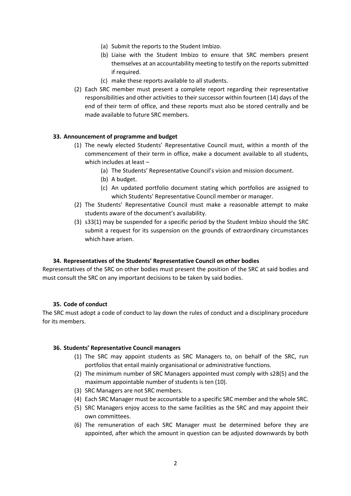- (a) Submit the reports to the Student Imbizo.
- (b) Liaise with the Student Imbizo to ensure that SRC members present themselves at an accountability meeting to testify on the reports submitted if required.
- (c) make these reports available to all students.
- (2) Each SRC member must present a complete report regarding their representative responsibilities and other activities to their successor within fourteen (14) days of the end of their term of office, and these reports must also be stored centrally and be made available to future SRC members.

#### **33. Announcement of programme and budget**

- (1) The newly elected Students' Representative Council must, within a month of the commencement of their term in office, make a document available to all students, which includes at least –
	- (a) The Students' Representative Council's vision and mission document.
	- (b) A budget.
	- (c) An updated portfolio document stating which portfolios are assigned to which Students' Representative Council member or manager.
- (2) The Students' Representative Council must make a reasonable attempt to make students aware of the document's availability.
- (3) s33(1) may be suspended for a specific period by the Student Imbizo should the SRC submit a request for its suspension on the grounds of extraordinary circumstances which have arisen.

#### **34. Representatives of the Students' Representative Council on other bodies**

Representatives of the SRC on other bodies must present the position of the SRC at said bodies and must consult the SRC on any important decisions to be taken by said bodies.

#### **35. Code of conduct**

The SRC must adopt a code of conduct to lay down the rules of conduct and a disciplinary procedure for its members.

#### **36. Students' Representative Council managers**

- (1) The SRC may appoint students as SRC Managers to, on behalf of the SRC, run portfolios that entail mainly organisational or administrative functions.
- (2) The minimum number of SRC Managers appointed must comply with s28(5) and the maximum appointable number of students is ten (10).
- (3) SRC Managers are not SRC members.
- (4) Each SRC Manager must be accountable to a specific SRC member and the whole SRC.
- (5) SRC Managers enjoy access to the same facilities as the SRC and may appoint their own committees.
- (6) The remuneration of each SRC Manager must be determined before they are appointed, after which the amount in question can be adjusted downwards by both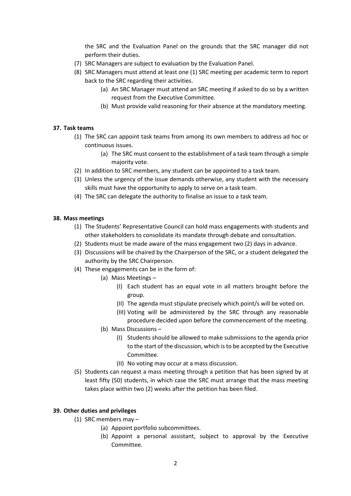the SRC and the Evaluation Panel on the grounds that the SRC manager did not perform their duties.

- (7) SRC Managers are subject to evaluation by the Evaluation Panel.
- (8) SRC Managers must attend at least one (1) SRC meeting per academic term to report back to the SRC regarding their activities.
	- (a) An SRC Manager must attend an SRC meeting if asked to do so by a written request from the Executive Committee.
	- (b) Must provide valid reasoning for their absence at the mandatory meeting.

#### **37. Task teams**

- (1) The SRC can appoint task teams from among its own members to address ad hoc or continuous issues.
	- (a) The SRC must consent to the establishment of a task team through a simple majority vote.
- (2) In addition to SRC members, any student can be appointed to a task team.
- (3) Unless the urgency of the issue demands otherwise, any student with the necessary skills must have the opportunity to apply to serve on a task team.
- (4) The SRC can delegate the authority to finalise an issue to a task team.

#### **38. Mass meetings**

- (1) The Students' Representative Council can hold mass engagements with students and other stakeholders to consolidate its mandate through debate and consultation.
- (2) Students must be made aware of the mass engagement two (2) days in advance.
- (3) Discussions will be chaired by the Chairperson of the SRC, or a student delegated the authority by the SRC Chairperson.
- (4) These engagements can be in the form of:
	- (a) Mass Meetings
		- (I) Each student has an equal vote in all matters brought before the group.
		- (II) The agenda must stipulate precisely which point/s will be voted on.
		- (III) Voting will be administered by the SRC through any reasonable procedure decided upon before the commencement of the meeting.
	- (b) Mass Discussions
		- (I) Students should be allowed to make submissions to the agenda prior to the start of the discussion, which is to be accepted by the Executive Committee.
		- (II) No voting may occur at a mass discussion.
- (5) Students can request a mass meeting through a petition that has been signed by at least fifty (50) students, in which case the SRC must arrange that the mass meeting takes place within two (2) weeks after the petition has been filed.

#### **39. Other duties and privileges**

- (1) SRC members may
	- (a) Appoint portfolio subcommittees.
	- (b) Appoint a personal assistant, subject to approval by the Executive Committee.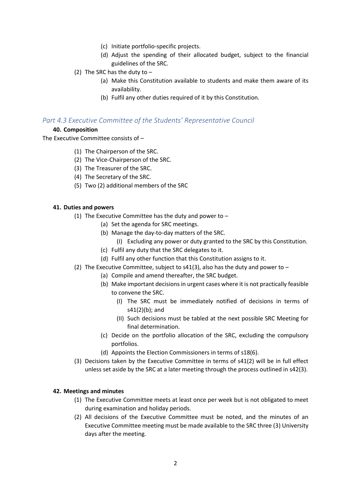- (c) Initiate portfolio-specific projects.
- (d) Adjust the spending of their allocated budget, subject to the financial guidelines of the SRC.
- (2) The SRC has the duty to
	- (a) Make this Constitution available to students and make them aware of its availability.
	- (b) Fulfil any other duties required of it by this Constitution.

# <span id="page-16-0"></span>*Part 4.3 Executive Committee of the Students' Representative Council*

#### **40. Composition**

The Executive Committee consists of –

- (1) The Chairperson of the SRC.
- (2) The Vice-Chairperson of the SRC.
- (3) The Treasurer of the SRC.
- (4) The Secretary of the SRC.
- (5) Two (2) additional members of the SRC

#### **41. Duties and powers**

- (1) The Executive Committee has the duty and power to  $-$ 
	- (a) Set the agenda for SRC meetings.
	- (b) Manage the day-to-day matters of the SRC.
		- (I) Excluding any power or duty granted to the SRC by this Constitution.
	- (c) Fulfil any duty that the SRC delegates to it.
	- (d) Fulfil any other function that this Constitution assigns to it.
- (2) The Executive Committee, subject to s41(3), also has the duty and power to  $-$ 
	- (a) Compile and amend thereafter, the SRC budget.
	- (b) Make important decisions in urgent cases where it is not practically feasible to convene the SRC.
		- (I) The SRC must be immediately notified of decisions in terms of s41(2)(b); and
		- (II) Such decisions must be tabled at the next possible SRC Meeting for final determination.
	- (c) Decide on the portfolio allocation of the SRC, excluding the compulsory portfolios.
	- (d) Appoints the Election Commissioners in terms of s18(6).
- (3) Decisions taken by the Executive Committee in terms of s41(2) will be in full effect unless set aside by the SRC at a later meeting through the process outlined in s42(3).

#### **42. Meetings and minutes**

- (1) The Executive Committee meets at least once per week but is not obligated to meet during examination and holiday periods.
- (2) All decisions of the Executive Committee must be noted, and the minutes of an Executive Committee meeting must be made available to the SRC three (3) University days after the meeting.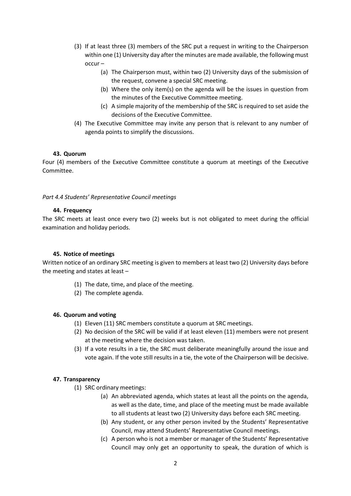- (3) If at least three (3) members of the SRC put a request in writing to the Chairperson within one (1) University day after the minutes are made available, the following must occur –
	- (a) The Chairperson must, within two (2) University days of the submission of the request, convene a special SRC meeting.
	- (b) Where the only item(s) on the agenda will be the issues in question from the minutes of the Executive Committee meeting.
	- (c) A simple majority of the membership of the SRC is required to set aside the decisions of the Executive Committee.
- (4) The Executive Committee may invite any person that is relevant to any number of agenda points to simplify the discussions.

#### **43. Quorum**

Four (4) members of the Executive Committee constitute a quorum at meetings of the Executive Committee.

#### *Part 4.4 Students' Representative Council meetings*

#### **44. Frequency**

The SRC meets at least once every two (2) weeks but is not obligated to meet during the official examination and holiday periods.

#### **45. Notice of meetings**

Written notice of an ordinary SRC meeting is given to members at least two (2) University days before the meeting and states at least –

- (1) The date, time, and place of the meeting.
- (2) The complete agenda.

#### **46. Quorum and voting**

- (1) Eleven (11) SRC members constitute a quorum at SRC meetings.
- (2) No decision of the SRC will be valid if at least eleven (11) members were not present at the meeting where the decision was taken.
- (3) If a vote results in a tie, the SRC must deliberate meaningfully around the issue and vote again. If the vote still results in a tie, the vote of the Chairperson will be decisive.

#### **47. Transparency**

- (1) SRC ordinary meetings:
	- (a) An abbreviated agenda, which states at least all the points on the agenda, as well as the date, time, and place of the meeting must be made available to all students at least two (2) University days before each SRC meeting.
	- (b) Any student, or any other person invited by the Students' Representative Council, may attend Students' Representative Council meetings.
	- (c) A person who is not a member or manager of the Students' Representative Council may only get an opportunity to speak, the duration of which is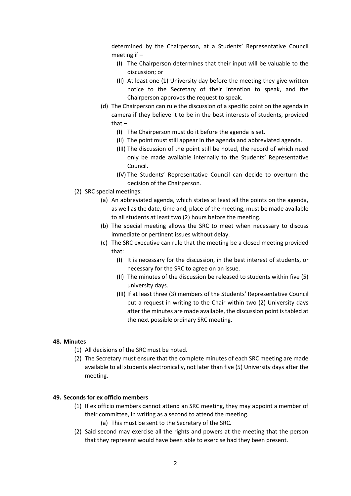determined by the Chairperson, at a Students' Representative Council meeting if –

- (I) The Chairperson determines that their input will be valuable to the discussion; or
- (II) At least one (1) University day before the meeting they give written notice to the Secretary of their intention to speak, and the Chairperson approves the request to speak.
- (d) The Chairperson can rule the discussion of a specific point on the agenda in camera if they believe it to be in the best interests of students, provided that –
	- (I) The Chairperson must do it before the agenda is set.
	- (II) The point must still appear in the agenda and abbreviated agenda.
	- (III) The discussion of the point still be noted, the record of which need only be made available internally to the Students' Representative Council.
	- (IV) The Students' Representative Council can decide to overturn the decision of the Chairperson.
- (2) SRC special meetings:
	- (a) An abbreviated agenda, which states at least all the points on the agenda, as well as the date, time and, place of the meeting, must be made available to all students at least two (2) hours before the meeting.
	- (b) The special meeting allows the SRC to meet when necessary to discuss immediate or pertinent issues without delay.
	- (c) The SRC executive can rule that the meeting be a closed meeting provided that:
		- (I) It is necessary for the discussion, in the best interest of students, or necessary for the SRC to agree on an issue.
		- (II) The minutes of the discussion be released to students within five (5) university days.
		- (III) If at least three (3) members of the Students' Representative Council put a request in writing to the Chair within two (2) University days after the minutes are made available, the discussion point is tabled at the next possible ordinary SRC meeting.

#### **48. Minutes**

- (1) All decisions of the SRC must be noted.
- (2) The Secretary must ensure that the complete minutes of each SRC meeting are made available to all students electronically, not later than five (5) University days after the meeting.

#### **49. Seconds for ex officio members**

- (1) If ex officio members cannot attend an SRC meeting, they may appoint a member of their committee, in writing as a second to attend the meeting.
	- (a) This must be sent to the Secretary of the SRC.
- (2) Said second may exercise all the rights and powers at the meeting that the person that they represent would have been able to exercise had they been present.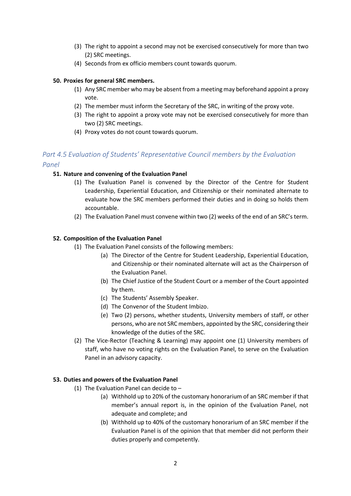- (3) The right to appoint a second may not be exercised consecutively for more than two (2) SRC meetings.
- (4) Seconds from ex officio members count towards quorum.

#### **50. Proxies for general SRC members.**

- (1) Any SRC member who may be absent from a meeting may beforehand appoint a proxy vote.
- (2) The member must inform the Secretary of the SRC, in writing of the proxy vote.
- (3) The right to appoint a proxy vote may not be exercised consecutively for more than two (2) SRC meetings.
- (4) Proxy votes do not count towards quorum.

# <span id="page-19-0"></span>*Part 4.5 Evaluation of Students' Representative Council members by the Evaluation Panel*

# **51. Nature and convening of the Evaluation Panel**

- (1) The Evaluation Panel is convened by the Director of the Centre for Student Leadership, Experiential Education, and Citizenship or their nominated alternate to evaluate how the SRC members performed their duties and in doing so holds them accountable.
- (2) The Evaluation Panel must convene within two (2) weeks of the end of an SRC's term.

#### **52. Composition of the Evaluation Panel**

- (1) The Evaluation Panel consists of the following members:
	- (a) The Director of the Centre for Student Leadership, Experiential Education, and Citizenship or their nominated alternate will act as the Chairperson of the Evaluation Panel.
	- (b) The Chief Justice of the Student Court or a member of the Court appointed by them.
	- (c) The Students' Assembly Speaker.
	- (d) The Convenor of the Student Imbizo.
	- (e) Two (2) persons, whether students, University members of staff, or other persons, who are not SRC members, appointed by the SRC, considering their knowledge of the duties of the SRC.
- (2) The Vice-Rector (Teaching & Learning) may appoint one (1) University members of staff, who have no voting rights on the Evaluation Panel, to serve on the Evaluation Panel in an advisory capacity.

#### **53. Duties and powers of the Evaluation Panel**

- (1) The Evaluation Panel can decide to  $-$ 
	- (a) Withhold up to 20% of the customary honorarium of an SRC member if that member's annual report is, in the opinion of the Evaluation Panel, not adequate and complete; and
	- (b) Withhold up to 40% of the customary honorarium of an SRC member if the Evaluation Panel is of the opinion that that member did not perform their duties properly and competently.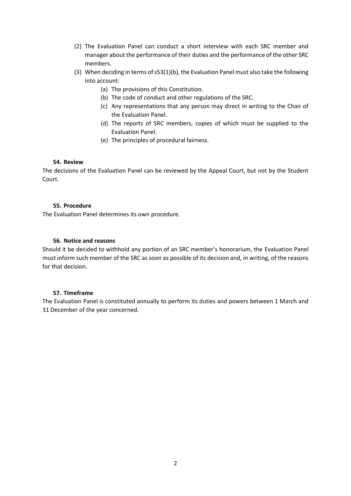- (2) The Evaluation Panel can conduct a short interview with each SRC member and manager about the performance of their duties and the performance of the other SRC members.
- (3) When deciding in terms of s53(1)(b), the Evaluation Panel must also take the following into account:
	- (a) The provisions of this Constitution.
	- (b) The code of conduct and other regulations of the SRC.
	- (c) Any representations that any person may direct in writing to the Chair of the Evaluation Panel.
	- (d) The reports of SRC members, copies of which must be supplied to the Evaluation Panel.
	- (e) The principles of procedural fairness.

#### **54. Review**

The decisions of the Evaluation Panel can be reviewed by the Appeal Court, but not by the Student Court.

## **55. Procedure**

The Evaluation Panel determines its own procedure.

#### **56. Notice and reasons**

Should it be decided to withhold any portion of an SRC member's honorarium, the Evaluation Panel must inform such member of the SRC as soon as possible of its decision and, in writing, of the reasons for that decision.

#### **57. Timeframe**

The Evaluation Panel is constituted annually to perform its duties and powers between 1 March and 31 December of the year concerned.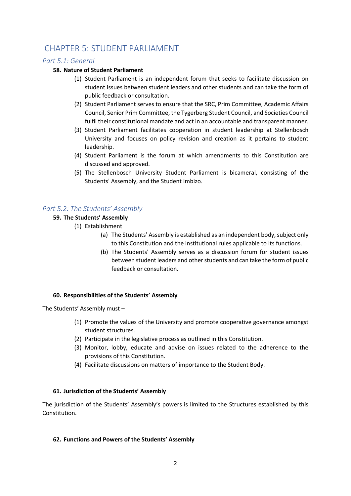# <span id="page-21-0"></span>CHAPTER 5: STUDENT PARLIAMENT

# <span id="page-21-1"></span>*Part 5.1: General*

## **58. Nature of Student Parliament**

- (1) Student Parliament is an independent forum that seeks to facilitate discussion on student issues between student leaders and other students and can take the form of public feedback or consultation.
- (2) Student Parliament serves to ensure that the SRC, Prim Committee, Academic Affairs Council, Senior Prim Committee, the Tygerberg Student Council, and Societies Council fulfil their constitutional mandate and act in an accountable and transparent manner.
- (3) Student Parliament facilitates cooperation in student leadership at Stellenbosch University and focuses on policy revision and creation as it pertains to student leadership.
- (4) Student Parliament is the forum at which amendments to this Constitution are discussed and approved.
- (5) The Stellenbosch University Student Parliament is bicameral, consisting of the Students' Assembly, and the Student Imbizo.

# <span id="page-21-2"></span>*Part 5.2: The Students' Assembly*

# **59. The Students' Assembly**

- (1) Establishment
	- (a) The Students' Assembly is established as an independent body, subject only to this Constitution and the institutional rules applicable to its functions.
	- (b) The Students' Assembly serves as a discussion forum for student issues between student leaders and other students and can take the form of public feedback or consultation.

#### **60. Responsibilities of the Students' Assembly**

The Students' Assembly must –

- (1) Promote the values of the University and promote cooperative governance amongst student structures.
- (2) Participate in the legislative process as outlined in this Constitution.
- (3) Monitor, lobby, educate and advise on issues related to the adherence to the provisions of this Constitution.
- (4) Facilitate discussions on matters of importance to the Student Body.

#### **61. Jurisdiction of the Students' Assembly**

The jurisdiction of the Students' Assembly's powers is limited to the Structures established by this Constitution.

#### **62. Functions and Powers of the Students' Assembly**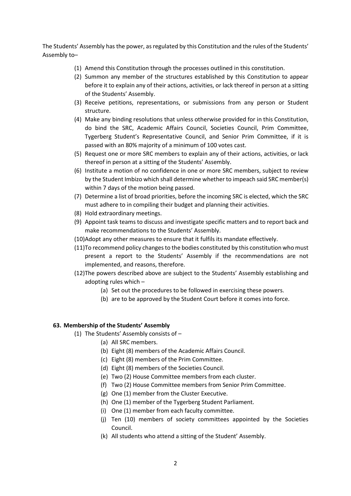The Students' Assembly has the power, as regulated by this Constitution and the rules of the Students' Assembly to–

- (1) Amend this Constitution through the processes outlined in this constitution.
- (2) Summon any member of the structures established by this Constitution to appear before it to explain any of their actions, activities, or lack thereof in person at a sitting of the Students' Assembly.
- (3) Receive petitions, representations, or submissions from any person or Student structure.
- (4) Make any binding resolutions that unless otherwise provided for in this Constitution, do bind the SRC, Academic Affairs Council, Societies Council, Prim Committee, Tygerberg Student's Representative Council, and Senior Prim Committee, if it is passed with an 80% majority of a minimum of 100 votes cast.
- (5) Request one or more SRC members to explain any of their actions, activities, or lack thereof in person at a sitting of the Students' Assembly.
- (6) Institute a motion of no confidence in one or more SRC members, subject to review by the Student Imbizo which shall determine whether to impeach said SRC member(s) within 7 days of the motion being passed.
- (7) Determine a list of broad priorities, before the incoming SRC is elected, which the SRC must adhere to in compiling their budget and planning their activities.
- (8) Hold extraordinary meetings.
- (9) Appoint task teams to discuss and investigate specific matters and to report back and make recommendations to the Students' Assembly.
- (10)Adopt any other measures to ensure that it fulfils its mandate effectively.
- (11)To recommend policy changes to the bodies constituted by this constitution who must present a report to the Students' Assembly if the recommendations are not implemented, and reasons, therefore.
- (12)The powers described above are subject to the Students' Assembly establishing and adopting rules which –
	- (a) Set out the procedures to be followed in exercising these powers.
	- (b) are to be approved by the Student Court before it comes into force.

#### **63. Membership of the Students' Assembly**

- (1) The Students' Assembly consists of
	- (a) All SRC members.
	- (b) Eight (8) members of the Academic Affairs Council.
	- (c) Eight (8) members of the Prim Committee.
	- (d) Eight (8) members of the Societies Council.
	- (e) Two (2) House Committee members from each cluster.
	- (f) Two (2) House Committee members from Senior Prim Committee.
	- (g) One (1) member from the Cluster Executive.
	- (h) One (1) member of the Tygerberg Student Parliament.
	- (i) One (1) member from each faculty committee.
	- (j) Ten (10) members of society committees appointed by the Societies Council.
	- (k) All students who attend a sitting of the Student' Assembly.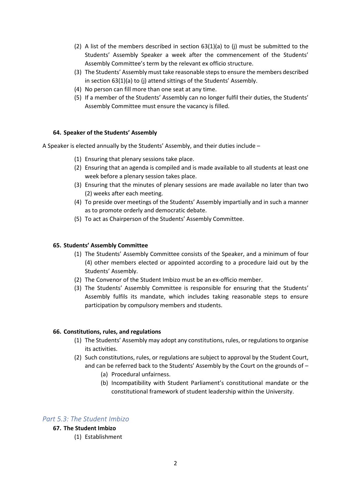- (2) A list of the members described in section  $63(1)(a)$  to (j) must be submitted to the Students' Assembly Speaker a week after the commencement of the Students' Assembly Committee's term by the relevant ex officio structure.
- (3) The Students' Assembly must take reasonable steps to ensure the members described in section 63(1)(a) to (j) attend sittings of the Students' Assembly.
- (4) No person can fill more than one seat at any time.
- (5) If a member of the Students' Assembly can no longer fulfil their duties, the Students' Assembly Committee must ensure the vacancy is filled.

#### **64. Speaker of the Students' Assembly**

A Speaker is elected annually by the Students' Assembly, and their duties include –

- (1) Ensuring that plenary sessions take place.
- (2) Ensuring that an agenda is compiled and is made available to all students at least one week before a plenary session takes place.
- (3) Ensuring that the minutes of plenary sessions are made available no later than two (2) weeks after each meeting.
- (4) To preside over meetings of the Students' Assembly impartially and in such a manner as to promote orderly and democratic debate.
- (5) To act as Chairperson of the Students' Assembly Committee.

#### **65. Students' Assembly Committee**

- (1) The Students' Assembly Committee consists of the Speaker, and a minimum of four (4) other members elected or appointed according to a procedure laid out by the Students' Assembly.
- (2) The Convenor of the Student Imbizo must be an ex-officio member.
- (3) The Students' Assembly Committee is responsible for ensuring that the Students' Assembly fulfils its mandate, which includes taking reasonable steps to ensure participation by compulsory members and students.

#### **66. Constitutions, rules, and regulations**

- (1) The Students' Assembly may adopt any constitutions, rules, or regulations to organise its activities.
- (2) Such constitutions, rules, or regulations are subject to approval by the Student Court, and can be referred back to the Students' Assembly by the Court on the grounds of –
	- (a) Procedural unfairness.
	- (b) Incompatibility with Student Parliament's constitutional mandate or the constitutional framework of student leadership within the University.

# <span id="page-23-0"></span>*Part 5.3: The Student Imbizo*

# **67. The Student Imbizo**

(1) Establishment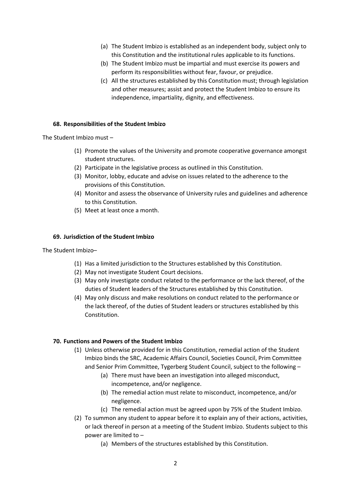- (a) The Student Imbizo is established as an independent body, subject only to this Constitution and the institutional rules applicable to its functions.
- (b) The Student Imbizo must be impartial and must exercise its powers and perform its responsibilities without fear, favour, or prejudice.
- (c) All the structures established by this Constitution must; through legislation and other measures; assist and protect the Student Imbizo to ensure its independence, impartiality, dignity, and effectiveness.

#### **68. Responsibilities of the Student Imbizo**

The Student Imbizo must –

- (1) Promote the values of the University and promote cooperative governance amongst student structures.
- (2) Participate in the legislative process as outlined in this Constitution.
- (3) Monitor, lobby, educate and advise on issues related to the adherence to the provisions of this Constitution.
- (4) Monitor and assess the observance of University rules and guidelines and adherence to this Constitution.
- (5) Meet at least once a month.

#### **69. Jurisdiction of the Student Imbizo**

The Student Imbizo–

- (1) Has a limited jurisdiction to the Structures established by this Constitution.
- (2) May not investigate Student Court decisions.
- (3) May only investigate conduct related to the performance or the lack thereof, of the duties of Student leaders of the Structures established by this Constitution.
- (4) May only discuss and make resolutions on conduct related to the performance or the lack thereof, of the duties of Student leaders or structures established by this **Constitution**

#### **70. Functions and Powers of the Student Imbizo**

- (1) Unless otherwise provided for in this Constitution, remedial action of the Student Imbizo binds the SRC, Academic Affairs Council, Societies Council, Prim Committee and Senior Prim Committee, Tygerberg Student Council, subject to the following –
	- (a) There must have been an investigation into alleged misconduct, incompetence, and/or negligence.
	- (b) The remedial action must relate to misconduct, incompetence, and/or negligence.
	- (c) The remedial action must be agreed upon by 75% of the Student Imbizo.
- (2) To summon any student to appear before it to explain any of their actions, activities, or lack thereof in person at a meeting of the Student Imbizo. Students subject to this power are limited to –
	- (a) Members of the structures established by this Constitution.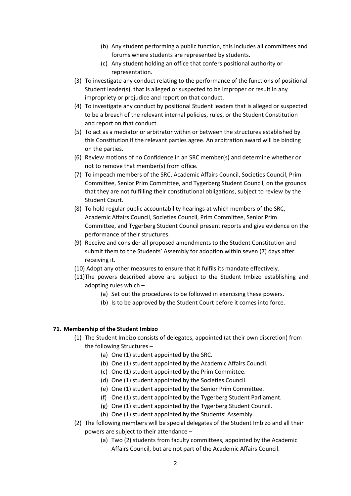- (b) Any student performing a public function, this includes all committees and forums where students are represented by students.
- (c) Any student holding an office that confers positional authority or representation.
- (3) To investigate any conduct relating to the performance of the functions of positional Student leader(s), that is alleged or suspected to be improper or result in any impropriety or prejudice and report on that conduct.
- (4) To investigate any conduct by positional Student leaders that is alleged or suspected to be a breach of the relevant internal policies, rules, or the Student Constitution and report on that conduct.
- (5) To act as a mediator or arbitrator within or between the structures established by this Constitution if the relevant parties agree. An arbitration award will be binding on the parties.
- (6) Review motions of no Confidence in an SRC member(s) and determine whether or not to remove that member(s) from office.
- (7) To impeach members of the SRC, Academic Affairs Council, Societies Council, Prim Committee, Senior Prim Committee, and Tygerberg Student Council, on the grounds that they are not fulfilling their constitutional obligations, subject to review by the Student Court.
- (8) To hold regular public accountability hearings at which members of the SRC, Academic Affairs Council, Societies Council, Prim Committee, Senior Prim Committee, and Tygerberg Student Council present reports and give evidence on the performance of their structures.
- (9) Receive and consider all proposed amendments to the Student Constitution and submit them to the Students' Assembly for adoption within seven (7) days after receiving it.
- (10) Adopt any other measures to ensure that it fulfils its mandate effectively.
- (11)The powers described above are subject to the Student Imbizo establishing and adopting rules which –
	- (a) Set out the procedures to be followed in exercising these powers.
	- (b) Is to be approved by the Student Court before it comes into force.

#### **71. Membership of the Student Imbizo**

- (1) The Student Imbizo consists of delegates, appointed (at their own discretion) from the following Structures –
	- (a) One (1) student appointed by the SRC.
	- (b) One (1) student appointed by the Academic Affairs Council.
	- (c) One (1) student appointed by the Prim Committee.
	- (d) One (1) student appointed by the Societies Council.
	- (e) One (1) student appointed by the Senior Prim Committee.
	- (f) One (1) student appointed by the Tygerberg Student Parliament.
	- (g) One (1) student appointed by the Tygerberg Student Council.
	- (h) One (1) student appointed by the Students' Assembly.
- (2) The following members will be special delegates of the Student Imbizo and all their powers are subject to their attendance –
	- (a) Two (2) students from faculty committees, appointed by the Academic Affairs Council, but are not part of the Academic Affairs Council.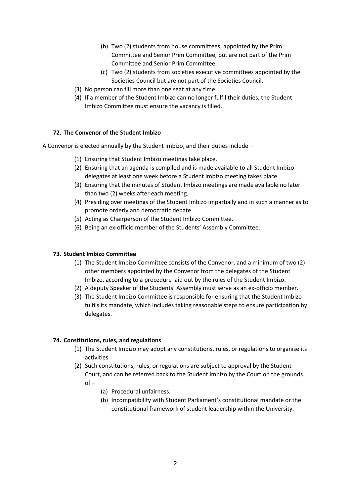- (b) Two (2) students from house committees, appointed by the Prim Committee and Senior Prim Committee, but are not part of the Prim Committee and Senior Prim Committee.
- (c) Two (2) students from societies executive committees appointed by the Societies Council but are not part of the Societies Council.
- (3) No person can fill more than one seat at any time.
- (4) If a member of the Student Imbizo can no longer fulfil their duties, the Student Imbizo Committee must ensure the vacancy is filled.

#### **72. The Convenor of the Student Imbizo**

A Convenor is elected annually by the Student Imbizo, and their duties include –

- (1) Ensuring that Student Imbizo meetings take place.
- (2) Ensuring that an agenda is compiled and is made available to all Student Imbizo delegates at least one week before a Student Imbizo meeting takes place.
- (3) Ensuring that the minutes of Student Imbizo meetings are made available no later than two (2) weeks after each meeting.
- (4) Presiding over meetings of the Student Imbizo impartially and in such a manner as to promote orderly and democratic debate.
- (5) Acting as Chairperson of the Student Imbizo Committee.
- (6) Being an ex-officio member of the Students' Assembly Committee.

#### **73. Student Imbizo Committee**

- (1) The Student Imbizo Committee consists of the Convenor, and a minimum of two (2) other members appointed by the Convenor from the delegates of the Student Imbizo, according to a procedure laid out by the rules of the Student Imbizo.
- (2) A deputy Speaker of the Students' Assembly must serve as an ex-officio member.
- (3) The Student Imbizo Committee is responsible for ensuring that the Student Imbizo fulfils its mandate, which includes taking reasonable steps to ensure participation by delegates.

- (1) The Student Imbizo may adopt any constitutions, rules, or regulations to organise its activities.
- (2) Such constitutions, rules, or regulations are subject to approval by the Student Court, and can be referred back to the Student Imbizo by the Court on the grounds of –
	- (a) Procedural unfairness.
	- (b) Incompatibility with Student Parliament's constitutional mandate or the constitutional framework of student leadership within the University.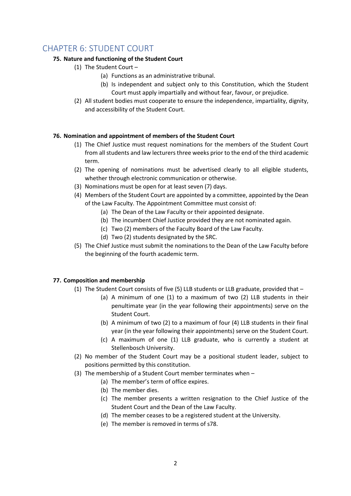# <span id="page-27-0"></span>CHAPTER 6: STUDENT COURT

# **75. Nature and functioning of the Student Court**

- (1) The Student Court
	- (a) Functions as an administrative tribunal.
	- (b) Is independent and subject only to this Constitution, which the Student Court must apply impartially and without fear, favour, or prejudice.
- (2) All student bodies must cooperate to ensure the independence, impartiality, dignity, and accessibility of the Student Court.

# **76. Nomination and appointment of members of the Student Court**

- (1) The Chief Justice must request nominations for the members of the Student Court from all students and law lecturers three weeks prior to the end of the third academic term.
- (2) The opening of nominations must be advertised clearly to all eligible students, whether through electronic communication or otherwise.
- (3) Nominations must be open for at least seven (7) days.
- (4) Members of the Student Court are appointed by a committee, appointed by the Dean of the Law Faculty. The Appointment Committee must consist of:
	- (a) The Dean of the Law Faculty or their appointed designate.
	- (b) The incumbent Chief Justice provided they are not nominated again.
	- (c) Two (2) members of the Faculty Board of the Law Faculty.
	- (d) Two (2) students designated by the SRC.
- (5) The Chief Justice must submit the nominations to the Dean of the Law Faculty before the beginning of the fourth academic term.

# **77. Composition and membership**

- (1) The Student Court consists of five (5) LLB students or LLB graduate, provided that
	- (a) A minimum of one (1) to a maximum of two (2) LLB students in their penultimate year (in the year following their appointments) serve on the Student Court.
	- (b) A minimum of two (2) to a maximum of four (4) LLB students in their final year (in the year following their appointments) serve on the Student Court.
	- (c) A maximum of one (1) LLB graduate, who is currently a student at Stellenbosch University.
- (2) No member of the Student Court may be a positional student leader, subject to positions permitted by this constitution.
- (3) The membership of a Student Court member terminates when
	- (a) The member's term of office expires.
	- (b) The member dies.
	- (c) The member presents a written resignation to the Chief Justice of the Student Court and the Dean of the Law Faculty.
	- (d) The member ceases to be a registered student at the University.
	- (e) The member is removed in terms of s78.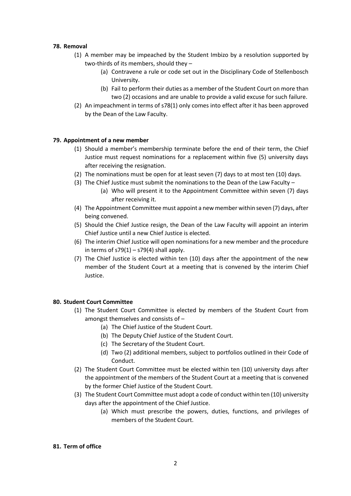#### **78. Removal**

- (1) A member may be impeached by the Student Imbizo by a resolution supported by two-thirds of its members, should they –
	- (a) Contravene a rule or code set out in the Disciplinary Code of Stellenbosch University.
	- (b) Fail to perform their duties as a member of the Student Court on more than two (2) occasions and are unable to provide a valid excuse for such failure.
- (2) An impeachment in terms of s78(1) only comes into effect after it has been approved by the Dean of the Law Faculty.

#### **79. Appointment of a new member**

- (1) Should a member's membership terminate before the end of their term, the Chief Justice must request nominations for a replacement within five (5) university days after receiving the resignation.
- (2) The nominations must be open for at least seven (7) days to at most ten (10) days.
- (3) The Chief Justice must submit the nominations to the Dean of the Law Faculty
	- (a) Who will present it to the Appointment Committee within seven (7) days after receiving it.
- (4) The Appointment Committee must appoint a new member within seven (7) days, after being convened.
- (5) Should the Chief Justice resign, the Dean of the Law Faculty will appoint an interim Chief Justice until a new Chief Justice is elected.
- (6) The interim Chief Justice will open nominations for a new member and the procedure in terms of  $s79(1) - s79(4)$  shall apply.
- (7) The Chief Justice is elected within ten (10) days after the appointment of the new member of the Student Court at a meeting that is convened by the interim Chief Justice.

#### **80. Student Court Committee**

- (1) The Student Court Committee is elected by members of the Student Court from amongst themselves and consists of –
	- (a) The Chief Justice of the Student Court.
	- (b) The Deputy Chief Justice of the Student Court.
	- (c) The Secretary of the Student Court.
	- (d) Two (2) additional members, subject to portfolios outlined in their Code of Conduct.
- (2) The Student Court Committee must be elected within ten (10) university days after the appointment of the members of the Student Court at a meeting that is convened by the former Chief Justice of the Student Court.
- (3) The Student Court Committee must adopt a code of conduct within ten (10) university days after the appointment of the Chief Justice.
	- (a) Which must prescribe the powers, duties, functions, and privileges of members of the Student Court.

#### **81. Term of office**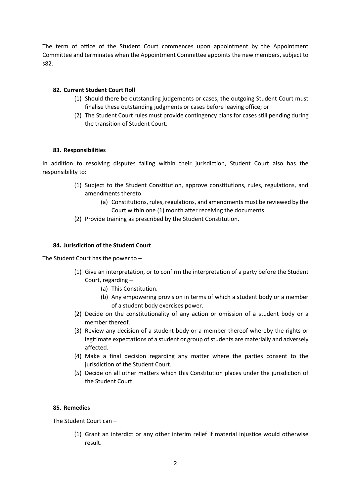The term of office of the Student Court commences upon appointment by the Appointment Committee and terminates when the Appointment Committee appoints the new members, subject to s82.

#### **82. Current Student Court Roll**

- (1) Should there be outstanding judgements or cases, the outgoing Student Court must finalise these outstanding judgments or cases before leaving office; or
- (2) The Student Court rules must provide contingency plans for cases still pending during the transition of Student Court.

#### **83. Responsibilities**

In addition to resolving disputes falling within their jurisdiction, Student Court also has the responsibility to:

- (1) Subject to the Student Constitution, approve constitutions, rules, regulations, and amendments thereto.
	- (a) Constitutions, rules, regulations, and amendments must be reviewed by the Court within one (1) month after receiving the documents.
- (2) Provide training as prescribed by the Student Constitution.

#### **84. Jurisdiction of the Student Court**

The Student Court has the power to –

- (1) Give an interpretation, or to confirm the interpretation of a party before the Student Court, regarding –
	- (a) This Constitution.
	- (b) Any empowering provision in terms of which a student body or a member of a student body exercises power.
- (2) Decide on the constitutionality of any action or omission of a student body or a member thereof.
- (3) Review any decision of a student body or a member thereof whereby the rights or legitimate expectations of a student or group of students are materially and adversely affected.
- (4) Make a final decision regarding any matter where the parties consent to the jurisdiction of the Student Court.
- (5) Decide on all other matters which this Constitution places under the jurisdiction of the Student Court.

#### **85. Remedies**

The Student Court can –

(1) Grant an interdict or any other interim relief if material injustice would otherwise result.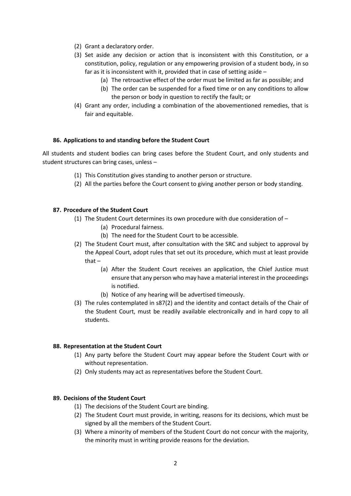- (2) Grant a declaratory order.
- (3) Set aside any decision or action that is inconsistent with this Constitution, or a constitution, policy, regulation or any empowering provision of a student body, in so far as it is inconsistent with it, provided that in case of setting aside –
	- (a) The retroactive effect of the order must be limited as far as possible; and
		- (b) The order can be suspended for a fixed time or on any conditions to allow the person or body in question to rectify the fault; or
- (4) Grant any order, including a combination of the abovementioned remedies, that is fair and equitable.

#### **86. Applications to and standing before the Student Court**

All students and student bodies can bring cases before the Student Court, and only students and student structures can bring cases, unless –

- (1) This Constitution gives standing to another person or structure.
- (2) All the parties before the Court consent to giving another person or body standing.

#### **87. Procedure of the Student Court**

- (1) The Student Court determines its own procedure with due consideration of
	- (a) Procedural fairness.
	- (b) The need for the Student Court to be accessible.
- (2) The Student Court must, after consultation with the SRC and subject to approval by the Appeal Court, adopt rules that set out its procedure, which must at least provide that –
	- (a) After the Student Court receives an application, the Chief Justice must ensure that any person who may have a material interest in the proceedings is notified.
	- (b) Notice of any hearing will be advertised timeously.
- (3) The rules contemplated in s87(2) and the identity and contact details of the Chair of the Student Court, must be readily available electronically and in hard copy to all students.

#### **88. Representation at the Student Court**

- (1) Any party before the Student Court may appear before the Student Court with or without representation.
- (2) Only students may act as representatives before the Student Court.

#### **89. Decisions of the Student Court**

- (1) The decisions of the Student Court are binding.
- (2) The Student Court must provide, in writing, reasons for its decisions, which must be signed by all the members of the Student Court.
- (3) Where a minority of members of the Student Court do not concur with the majority, the minority must in writing provide reasons for the deviation.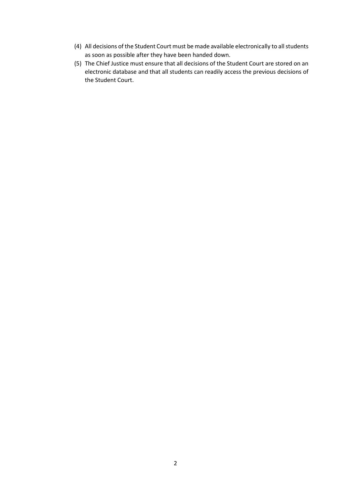- (4) All decisions of the Student Court must be made available electronically to all students as soon as possible after they have been handed down.
- (5) The Chief Justice must ensure that all decisions of the Student Court are stored on an electronic database and that all students can readily access the previous decisions of the Student Court.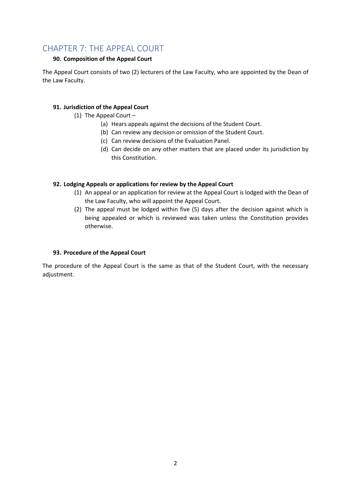# <span id="page-32-0"></span>CHAPTER 7: THE APPEAL COURT

# **90. Composition of the Appeal Court**

The Appeal Court consists of two (2) lecturers of the Law Faculty, who are appointed by the Dean of the Law Faculty.

# **91. Jurisdiction of the Appeal Court**

- (1) The Appeal Court
	- (a) Hears appeals against the decisions of the Student Court.
	- (b) Can review any decision or omission of the Student Court.
	- (c) Can review decisions of the Evaluation Panel.
	- (d) Can decide on any other matters that are placed under its jurisdiction by this Constitution.

# **92. Lodging Appeals or applications for review by the Appeal Court**

- (1) An appeal or an application for review at the Appeal Court is lodged with the Dean of the Law Faculty, who will appoint the Appeal Court.
- (2) The appeal must be lodged within five (5) days after the decision against which is being appealed or which is reviewed was taken unless the Constitution provides otherwise.

# **93. Procedure of the Appeal Court**

The procedure of the Appeal Court is the same as that of the Student Court, with the necessary adjustment.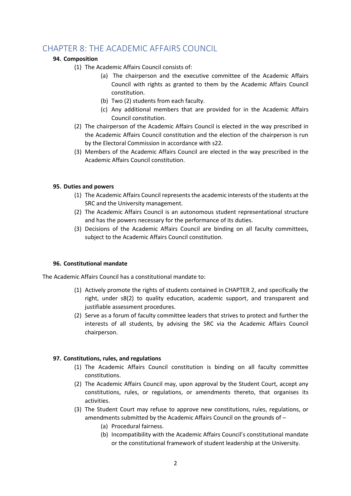# <span id="page-33-0"></span>CHAPTER 8: THE ACADEMIC AFFAIRS COUNCIL

# **94. Composition**

- (1) The Academic Affairs Council consists of:
	- (a) The chairperson and the executive committee of the Academic Affairs Council with rights as granted to them by the Academic Affairs Council constitution.
	- (b) Two (2) students from each faculty.
	- (c) Any additional members that are provided for in the Academic Affairs Council constitution.
- (2) The chairperson of the Academic Affairs Council is elected in the way prescribed in the Academic Affairs Council constitution and the election of the chairperson is run by the Electoral Commission in accordance with s22.
- (3) Members of the Academic Affairs Council are elected in the way prescribed in the Academic Affairs Council constitution.

#### **95. Duties and powers**

- (1) The Academic Affairs Council represents the academic interests of the students at the SRC and the University management.
- (2) The Academic Affairs Council is an autonomous student representational structure and has the powers necessary for the performance of its duties.
- (3) Decisions of the Academic Affairs Council are binding on all faculty committees, subject to the Academic Affairs Council constitution.

# **96. Constitutional mandate**

The Academic Affairs Council has a constitutional mandate to:

- (1) Actively promote the rights of students contained in CHAPTER 2, and specifically the right, under s8(2) to quality education, academic support, and transparent and justifiable assessment procedures.
- (2) Serve as a forum of faculty committee leaders that strives to protect and further the interests of all students, by advising the SRC via the Academic Affairs Council chairperson.

- (1) The Academic Affairs Council constitution is binding on all faculty committee constitutions.
- (2) The Academic Affairs Council may, upon approval by the Student Court, accept any constitutions, rules, or regulations, or amendments thereto, that organises its activities.
- (3) The Student Court may refuse to approve new constitutions, rules, regulations, or amendments submitted by the Academic Affairs Council on the grounds of –
	- (a) Procedural fairness.
	- (b) Incompatibility with the Academic Affairs Council's constitutional mandate or the constitutional framework of student leadership at the University.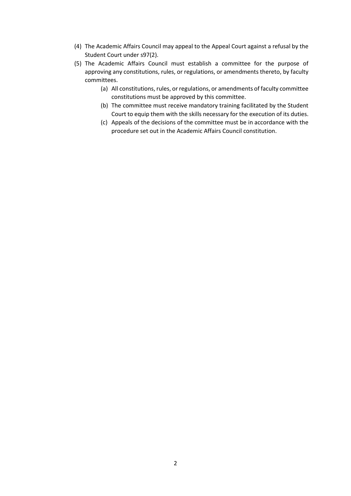- (4) The Academic Affairs Council may appeal to the Appeal Court against a refusal by the Student Court under s97(2).
- (5) The Academic Affairs Council must establish a committee for the purpose of approving any constitutions, rules, or regulations, or amendments thereto, by faculty committees.
	- (a) All constitutions, rules, or regulations, or amendments of faculty committee constitutions must be approved by this committee.
	- (b) The committee must receive mandatory training facilitated by the Student Court to equip them with the skills necessary for the execution of its duties.
	- (c) Appeals of the decisions of the committee must be in accordance with the procedure set out in the Academic Affairs Council constitution.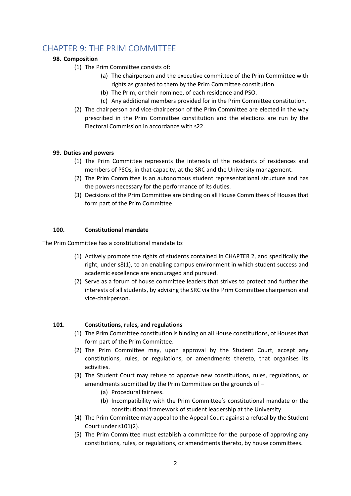# <span id="page-35-0"></span>CHAPTER 9: THE PRIM COMMITTEE

# **98. Composition**

- (1) The Prim Committee consists of:
	- (a) The chairperson and the executive committee of the Prim Committee with rights as granted to them by the Prim Committee constitution.
	- (b) The Prim, or their nominee, of each residence and PSO.
	- (c) Any additional members provided for in the Prim Committee constitution.
- (2) The chairperson and vice-chairperson of the Prim Committee are elected in the way prescribed in the Prim Committee constitution and the elections are run by the Electoral Commission in accordance with s22.

# **99. Duties and powers**

- (1) The Prim Committee represents the interests of the residents of residences and members of PSOs, in that capacity, at the SRC and the University management.
- (2) The Prim Committee is an autonomous student representational structure and has the powers necessary for the performance of its duties.
- (3) Decisions of the Prim Committee are binding on all House Committees of Houses that form part of the Prim Committee.

#### **100. Constitutional mandate**

The Prim Committee has a constitutional mandate to:

- (1) Actively promote the rights of students contained in CHAPTER 2, and specifically the right, under s8(1), to an enabling campus environment in which student success and academic excellence are encouraged and pursued.
- (2) Serve as a forum of house committee leaders that strives to protect and further the interests of all students, by advising the SRC via the Prim Committee chairperson and vice-chairperson.

- (1) The Prim Committee constitution is binding on all House constitutions, of Houses that form part of the Prim Committee.
- (2) The Prim Committee may, upon approval by the Student Court, accept any constitutions, rules, or regulations, or amendments thereto, that organises its activities.
- (3) The Student Court may refuse to approve new constitutions, rules, regulations, or amendments submitted by the Prim Committee on the grounds of –
	- (a) Procedural fairness.
	- (b) Incompatibility with the Prim Committee's constitutional mandate or the constitutional framework of student leadership at the University.
- (4) The Prim Committee may appeal to the Appeal Court against a refusal by the Student Court under s101(2).
- (5) The Prim Committee must establish a committee for the purpose of approving any constitutions, rules, or regulations, or amendments thereto, by house committees.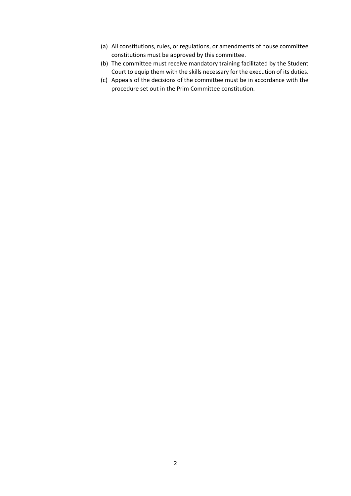- (a) All constitutions, rules, or regulations, or amendments of house committee constitutions must be approved by this committee.
- (b) The committee must receive mandatory training facilitated by the Student Court to equip them with the skills necessary for the execution of its duties.
- (c) Appeals of the decisions of the committee must be in accordance with the procedure set out in the Prim Committee constitution.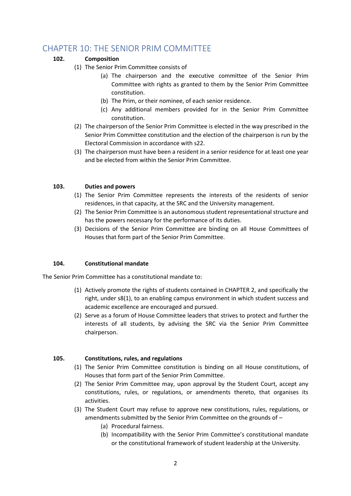# <span id="page-37-0"></span>CHAPTER 10: THE SENIOR PRIM COMMITTEE

# **102. Composition**

- (1) The Senior Prim Committee consists of
	- (a) The chairperson and the executive committee of the Senior Prim Committee with rights as granted to them by the Senior Prim Committee constitution.
	- (b) The Prim, or their nominee, of each senior residence.
	- (c) Any additional members provided for in the Senior Prim Committee constitution.
- (2) The chairperson of the Senior Prim Committee is elected in the way prescribed in the Senior Prim Committee constitution and the election of the chairperson is run by the Electoral Commission in accordance with s22.
- (3) The chairperson must have been a resident in a senior residence for at least one year and be elected from within the Senior Prim Committee.

#### **103. Duties and powers**

- (1) The Senior Prim Committee represents the interests of the residents of senior residences, in that capacity, at the SRC and the University management.
- (2) The Senior Prim Committee is an autonomous student representational structure and has the powers necessary for the performance of its duties.
- (3) Decisions of the Senior Prim Committee are binding on all House Committees of Houses that form part of the Senior Prim Committee.

#### **104. Constitutional mandate**

The Senior Prim Committee has a constitutional mandate to:

- (1) Actively promote the rights of students contained in CHAPTER 2, and specifically the right, under s8(1), to an enabling campus environment in which student success and academic excellence are encouraged and pursued.
- (2) Serve as a forum of House Committee leaders that strives to protect and further the interests of all students, by advising the SRC via the Senior Prim Committee chairperson.

- (1) The Senior Prim Committee constitution is binding on all House constitutions, of Houses that form part of the Senior Prim Committee.
- (2) The Senior Prim Committee may, upon approval by the Student Court, accept any constitutions, rules, or regulations, or amendments thereto, that organises its activities.
- (3) The Student Court may refuse to approve new constitutions, rules, regulations, or amendments submitted by the Senior Prim Committee on the grounds of –
	- (a) Procedural fairness.
	- (b) Incompatibility with the Senior Prim Committee's constitutional mandate or the constitutional framework of student leadership at the University.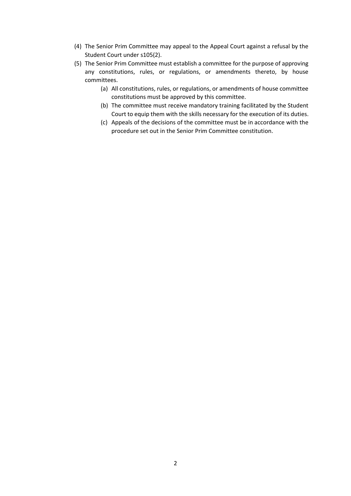- (4) The Senior Prim Committee may appeal to the Appeal Court against a refusal by the Student Court under s105(2).
- (5) The Senior Prim Committee must establish a committee for the purpose of approving any constitutions, rules, or regulations, or amendments thereto, by house committees.
	- (a) All constitutions, rules, or regulations, or amendments of house committee constitutions must be approved by this committee.
	- (b) The committee must receive mandatory training facilitated by the Student Court to equip them with the skills necessary for the execution of its duties.
	- (c) Appeals of the decisions of the committee must be in accordance with the procedure set out in the Senior Prim Committee constitution.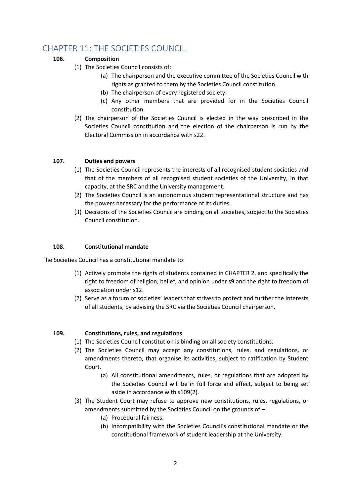# <span id="page-39-0"></span>CHAPTER 11: THE SOCIETIES COUNCIL

# **106. Composition**

- (1) The Societies Council consists of:
	- (a) The chairperson and the executive committee of the Societies Council with rights as granted to them by the Societies Council constitution.
	- (b) The chairperson of every registered society.
	- (c) Any other members that are provided for in the Societies Council constitution.
- (2) The chairperson of the Societies Council is elected in the way prescribed in the Societies Council constitution and the election of the chairperson is run by the Electoral Commission in accordance with s22.

# **107. Duties and powers**

- (1) The Societies Council represents the interests of all recognised student societies and that of the members of all recognised student societies of the University, in that capacity, at the SRC and the University management.
- (2) The Societies Council is an autonomous student representational structure and has the powers necessary for the performance of its duties.
- (3) Decisions of the Societies Council are binding on all societies, subject to the Societies Council constitution.

# **108. Constitutional mandate**

The Societies Council has a constitutional mandate to:

- (1) Actively promote the rights of students contained in CHAPTER 2, and specifically the right to freedom of religion, belief, and opinion under s9 and the right to freedom of association under s12.
- (2) Serve as a forum of societies' leaders that strives to protect and further the interests of all students, by advising the SRC via the Societies Council chairperson.

- (1) The Societies Council constitution is binding on all society constitutions.
- (2) The Societies Council may accept any constitutions, rules, and regulations, or amendments thereto, that organise its activities, subject to ratification by Student Court.
	- (a) All constitutional amendments, rules, or regulations that are adopted by the Societies Council will be in full force and effect, subject to being set aside in accordance with s109(2).
- (3) The Student Court may refuse to approve new constitutions, rules, regulations, or amendments submitted by the Societies Council on the grounds of –
	- (a) Procedural fairness.
	- (b) Incompatibility with the Societies Council's constitutional mandate or the constitutional framework of student leadership at the University.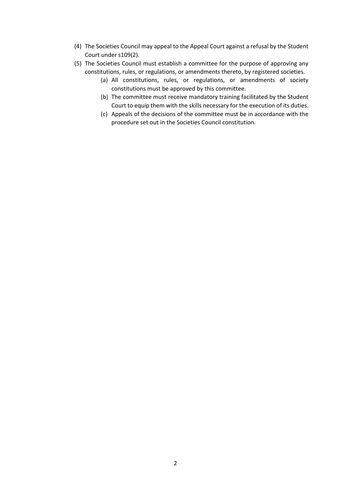- (4) The Societies Council may appeal to the Appeal Court against a refusal by the Student Court under s109(2).
- (5) The Societies Council must establish a committee for the purpose of approving any constitutions, rules, or regulations, or amendments thereto, by registered societies.
	- (a) All constitutions, rules, or regulations, or amendments of society constitutions must be approved by this committee.
	- (b) The committee must receive mandatory training facilitated by the Student Court to equip them with the skills necessary for the execution of its duties.
	- (c) Appeals of the decisions of the committee must be in accordance with the procedure set out in the Societies Council constitution.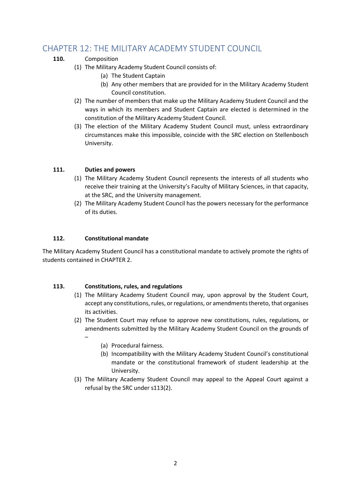# <span id="page-41-0"></span>CHAPTER 12: THE MILITARY ACADEMY STUDENT COUNCIL

# **110.** Composition

- (1) The Military Academy Student Council consists of:
	- (a) The Student Captain
	- (b) Any other members that are provided for in the Military Academy Student Council constitution.
- (2) The number of members that make up the Military Academy Student Council and the ways in which its members and Student Captain are elected is determined in the constitution of the Military Academy Student Council.
- (3) The election of the Military Academy Student Council must, unless extraordinary circumstances make this impossible, coincide with the SRC election on Stellenbosch University.

# **111. Duties and powers**

- (1) The Military Academy Student Council represents the interests of all students who receive their training at the University's Faculty of Military Sciences, in that capacity, at the SRC, and the University management.
- (2) The Military Academy Student Council has the powers necessary for the performance of its duties.

# **112. Constitutional mandate**

–

The Military Academy Student Council has a constitutional mandate to actively promote the rights of students contained in CHAPTER 2.

- (1) The Military Academy Student Council may, upon approval by the Student Court, accept any constitutions, rules, or regulations, or amendments thereto, that organises its activities.
- (2) The Student Court may refuse to approve new constitutions, rules, regulations, or amendments submitted by the Military Academy Student Council on the grounds of
	- (a) Procedural fairness.
	- (b) Incompatibility with the Military Academy Student Council's constitutional mandate or the constitutional framework of student leadership at the University.
- (3) The Military Academy Student Council may appeal to the Appeal Court against a refusal by the SRC under s113(2).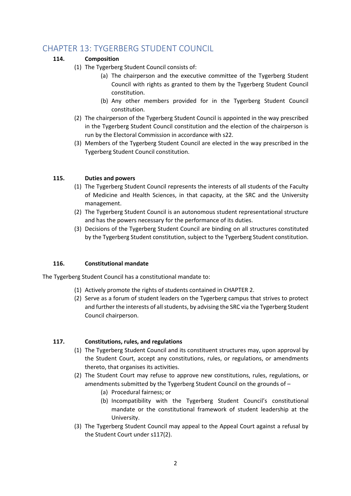# <span id="page-42-0"></span>CHAPTER 13: TYGERBERG STUDENT COUNCIL

# **114. Composition**

- (1) The Tygerberg Student Council consists of:
	- (a) The chairperson and the executive committee of the Tygerberg Student Council with rights as granted to them by the Tygerberg Student Council constitution.
	- (b) Any other members provided for in the Tygerberg Student Council constitution.
- (2) The chairperson of the Tygerberg Student Council is appointed in the way prescribed in the Tygerberg Student Council constitution and the election of the chairperson is run by the Electoral Commission in accordance with s22.
- (3) Members of the Tygerberg Student Council are elected in the way prescribed in the Tygerberg Student Council constitution.

# **115. Duties and powers**

- (1) The Tygerberg Student Council represents the interests of all students of the Faculty of Medicine and Health Sciences, in that capacity, at the SRC and the University management.
- (2) The Tygerberg Student Council is an autonomous student representational structure and has the powers necessary for the performance of its duties.
- (3) Decisions of the Tygerberg Student Council are binding on all structures constituted by the Tygerberg Student constitution, subject to the Tygerberg Student constitution.

# **116. Constitutional mandate**

The Tygerberg Student Council has a constitutional mandate to:

- (1) Actively promote the rights of students contained in CHAPTER 2.
- (2) Serve as a forum of student leaders on the Tygerberg campus that strives to protect and further the interests of all students, by advising the SRC via the Tygerberg Student Council chairperson.

- (1) The Tygerberg Student Council and its constituent structures may, upon approval by the Student Court, accept any constitutions, rules, or regulations, or amendments thereto, that organises its activities.
- (2) The Student Court may refuse to approve new constitutions, rules, regulations, or amendments submitted by the Tygerberg Student Council on the grounds of –
	- (a) Procedural fairness; or
	- (b) Incompatibility with the Tygerberg Student Council's constitutional mandate or the constitutional framework of student leadership at the University.
- (3) The Tygerberg Student Council may appeal to the Appeal Court against a refusal by the Student Court under s117(2).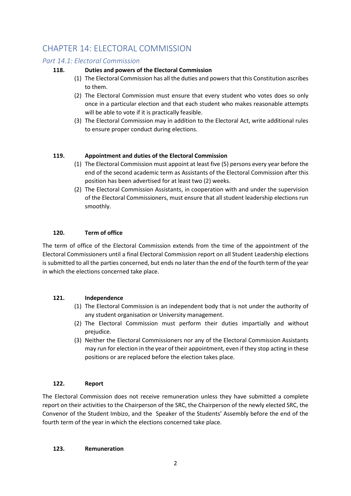# <span id="page-43-0"></span>CHAPTER 14: ELECTORAL COMMISSION

# <span id="page-43-1"></span>*Part 14.1: Electoral Commission*

# **118. Duties and powers of the Electoral Commission**

- (1) The Electoral Commission has all the duties and powers that this Constitution ascribes to them.
- (2) The Electoral Commission must ensure that every student who votes does so only once in a particular election and that each student who makes reasonable attempts will be able to vote if it is practically feasible.
- (3) The Electoral Commission may in addition to the Electoral Act, write additional rules to ensure proper conduct during elections.

# **119. Appointment and duties of the Electoral Commission**

- (1) The Electoral Commission must appoint at least five (5) persons every year before the end of the second academic term as Assistants of the Electoral Commission after this position has been advertised for at least two (2) weeks.
- (2) The Electoral Commission Assistants, in cooperation with and under the supervision of the Electoral Commissioners, must ensure that all student leadership elections run smoothly.

# **120. Term of office**

The term of office of the Electoral Commission extends from the time of the appointment of the Electoral Commissioners until a final Electoral Commission report on all Student Leadership elections is submitted to all the parties concerned, but ends no later than the end of the fourth term of the year in which the elections concerned take place.

# **121. Independence**

- (1) The Electoral Commission is an independent body that is not under the authority of any student organisation or University management.
- (2) The Electoral Commission must perform their duties impartially and without prejudice.
- (3) Neither the Electoral Commissioners nor any of the Electoral Commission Assistants may run for election in the year of their appointment, even if they stop acting in these positions or are replaced before the election takes place.

# **122. Report**

The Electoral Commission does not receive remuneration unless they have submitted a complete report on their activities to the Chairperson of the SRC, the Chairperson of the newly elected SRC, the Convenor of the Student Imbizo, and the Speaker of the Students' Assembly before the end of the fourth term of the year in which the elections concerned take place.

# **123. Remuneration**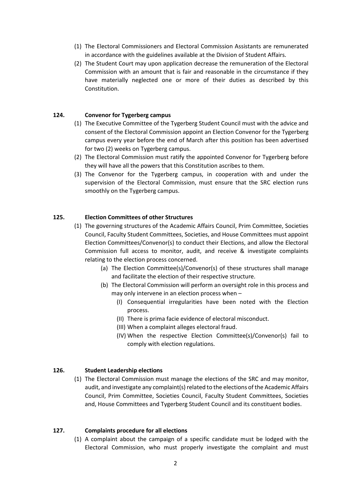- (1) The Electoral Commissioners and Electoral Commission Assistants are remunerated in accordance with the guidelines available at the Division of Student Affairs.
- (2) The Student Court may upon application decrease the remuneration of the Electoral Commission with an amount that is fair and reasonable in the circumstance if they have materially neglected one or more of their duties as described by this Constitution.

#### **124. Convenor for Tygerberg campus**

- (1) The Executive Committee of the Tygerberg Student Council must with the advice and consent of the Electoral Commission appoint an Election Convenor for the Tygerberg campus every year before the end of March after this position has been advertised for two (2) weeks on Tygerberg campus.
- (2) The Electoral Commission must ratify the appointed Convenor for Tygerberg before they will have all the powers that this Constitution ascribes to them.
- (3) The Convenor for the Tygerberg campus, in cooperation with and under the supervision of the Electoral Commission, must ensure that the SRC election runs smoothly on the Tygerberg campus.

#### **125. Election Committees of other Structures**

- (1) The governing structures of the Academic Affairs Council, Prim Committee, Societies Council, Faculty Student Committees, Societies, and House Committees must appoint Election Committees/Convenor(s) to conduct their Elections, and allow the Electoral Commission full access to monitor, audit, and receive & investigate complaints relating to the election process concerned.
	- (a) The Election Committee(s)/Convenor(s) of these structures shall manage and facilitate the election of their respective structure.
	- (b) The Electoral Commission will perform an oversight role in this process and may only intervene in an election process when –
		- (I) Consequential irregularities have been noted with the Election process.
		- (II) There is prima facie evidence of electoral misconduct.
		- (III) When a complaint alleges electoral fraud.
		- (IV) When the respective Election Committee(s)/Convenor(s) fail to comply with election regulations.

#### **126. Student Leadership elections**

(1) The Electoral Commission must manage the elections of the SRC and may monitor, audit, and investigate any complaint(s) related to the elections of the Academic Affairs Council, Prim Committee, Societies Council, Faculty Student Committees, Societies and, House Committees and Tygerberg Student Council and its constituent bodies.

#### **127. Complaints procedure for all elections**

(1) A complaint about the campaign of a specific candidate must be lodged with the Electoral Commission, who must properly investigate the complaint and must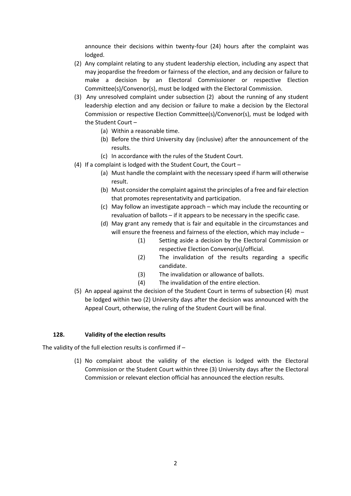announce their decisions within twenty-four (24) hours after the complaint was lodged.

- (2) Any complaint relating to any student leadership election, including any aspect that may jeopardise the freedom or fairness of the election, and any decision or failure to make a decision by an Electoral Commissioner or respective Election Committee(s)/Convenor(s), must be lodged with the Electoral Commission.
- (3) Any unresolved complaint under subsection (2) about the running of any student leadership election and any decision or failure to make a decision by the Electoral Commission or respective Election Committee(s)/Convenor(s), must be lodged with the Student Court –
	- (a) Within a reasonable time.
	- (b) Before the third University day (inclusive) after the announcement of the results.
	- (c) In accordance with the rules of the Student Court.
- (4) If a complaint is lodged with the Student Court, the Court
	- (a) Must handle the complaint with the necessary speed if harm will otherwise result.
	- (b) Must consider the complaint against the principles of a free and fair election that promotes representativity and participation.
	- (c) May follow an investigate approach which may include the recounting or revaluation of ballots – if it appears to be necessary in the specific case.
	- (d) May grant any remedy that is fair and equitable in the circumstances and will ensure the freeness and fairness of the election, which may include –
		- (1) Setting aside a decision by the Electoral Commission or respective Election Convenor(s)/official.
		- (2) The invalidation of the results regarding a specific candidate.
		- (3) The invalidation or allowance of ballots.
		- (4) The invalidation of the entire election.
- (5) An appeal against the decision of the Student Court in terms of subsection (4) must be lodged within two (2) University days after the decision was announced with the Appeal Court, otherwise, the ruling of the Student Court will be final.

# **128. Validity of the election results**

The validity of the full election results is confirmed if –

(1) No complaint about the validity of the election is lodged with the Electoral Commission or the Student Court within three (3) University days after the Electoral Commission or relevant election official has announced the election results.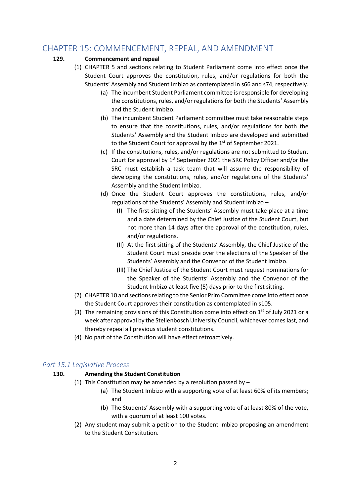# <span id="page-46-0"></span>CHAPTER 15: COMMENCEMENT, REPEAL, AND AMENDMENT

# **129. Commencement and repeal**

- (1) CHAPTER 5 and sections relating to Student Parliament come into effect once the Student Court approves the constitution, rules, and/or regulations for both the Students' Assembly and Student Imbizo as contemplated in s66 and s74, respectively.
	- (a) The incumbent Student Parliament committee is responsible for developing the constitutions, rules, and/or regulations for both the Students' Assembly and the Student Imbizo.
	- (b) The incumbent Student Parliament committee must take reasonable steps to ensure that the constitutions, rules, and/or regulations for both the Students' Assembly and the Student Imbizo are developed and submitted to the Student Court for approval by the 1<sup>st</sup> of September 2021.
	- (c) If the constitutions, rules, and/or regulations are not submitted to Student Court for approval by 1<sup>st</sup> September 2021 the SRC Policy Officer and/or the SRC must establish a task team that will assume the responsibility of developing the constitutions, rules, and/or regulations of the Students' Assembly and the Student Imbizo.
	- (d) Once the Student Court approves the constitutions, rules, and/or regulations of the Students' Assembly and Student Imbizo –
		- (I) The first sitting of the Students' Assembly must take place at a time and a date determined by the Chief Justice of the Student Court, but not more than 14 days after the approval of the constitution, rules, and/or regulations.
		- (II) At the first sitting of the Students' Assembly, the Chief Justice of the Student Court must preside over the elections of the Speaker of the Students' Assembly and the Convenor of the Student Imbizo.
		- (III) The Chief Justice of the Student Court must request nominations for the Speaker of the Students' Assembly and the Convenor of the Student Imbizo at least five (5) days prior to the first sitting.
- (2) CHAPTER 10 and sections relating to the Senior Prim Committee come into effect once the Student Court approves their constitution as contemplated in s105.
- (3) The remaining provisions of this Constitution come into effect on  $1<sup>st</sup>$  of July 2021 or a week after approval by the Stellenbosch University Council, whichever comes last, and thereby repeal all previous student constitutions.
- (4) No part of the Constitution will have effect retroactively.

# <span id="page-46-1"></span>*Part 15.1 Legislative Process*

# **130. Amending the Student Constitution**

- (1) This Constitution may be amended by a resolution passed by  $-$ 
	- (a) The Student Imbizo with a supporting vote of at least 60% of its members; and
	- (b) The Students' Assembly with a supporting vote of at least 80% of the vote, with a quorum of at least 100 votes.
- (2) Any student may submit a petition to the Student Imbizo proposing an amendment to the Student Constitution.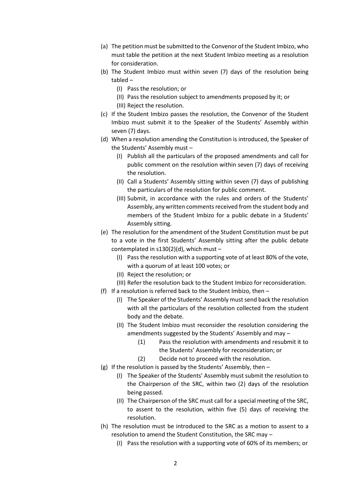- (a) The petition must be submitted to the Convenor of the Student Imbizo, who must table the petition at the next Student Imbizo meeting as a resolution for consideration.
- (b) The Student Imbizo must within seven (7) days of the resolution being tabled –
	- (I) Pass the resolution; or
	- (II) Pass the resolution subject to amendments proposed by it; or
	- (III) Reject the resolution.
- (c) If the Student Imbizo passes the resolution, the Convenor of the Student Imbizo must submit it to the Speaker of the Students' Assembly within seven (7) days.
- (d) When a resolution amending the Constitution is introduced, the Speaker of the Students' Assembly must –
	- (I) Publish all the particulars of the proposed amendments and call for public comment on the resolution within seven (7) days of receiving the resolution.
	- (II) Call a Students' Assembly sitting within seven (7) days of publishing the particulars of the resolution for public comment.
	- (III) Submit, in accordance with the rules and orders of the Students' Assembly, any written comments received from the student body and members of the Student Imbizo for a public debate in a Students' Assembly sitting.
- (e) The resolution for the amendment of the Student Constitution must be put to a vote in the first Students' Assembly sitting after the public debate contemplated in s130(2)(d), which must –
	- (I) Pass the resolution with a supporting vote of at least 80% of the vote, with a quorum of at least 100 votes; or
	- (II) Reject the resolution; or
	- (III) Refer the resolution back to the Student Imbizo for reconsideration.
- (f) If a resolution is referred back to the Student Imbizo, then
	- (I) The Speaker of the Students' Assembly must send back the resolution with all the particulars of the resolution collected from the student body and the debate.
	- (II) The Student Imbizo must reconsider the resolution considering the amendments suggested by the Students' Assembly and may –
		- (1) Pass the resolution with amendments and resubmit it to the Students' Assembly for reconsideration; or
		- (2) Decide not to proceed with the resolution.
- (g) If the resolution is passed by the Students' Assembly, then
	- (I) The Speaker of the Students' Assembly must submit the resolution to the Chairperson of the SRC, within two (2) days of the resolution being passed.
	- (II) The Chairperson of the SRC must call for a special meeting of the SRC, to assent to the resolution, within five (5) days of receiving the resolution.
- (h) The resolution must be introduced to the SRC as a motion to assent to a resolution to amend the Student Constitution, the SRC may –
	- (I) Pass the resolution with a supporting vote of 60% of its members; or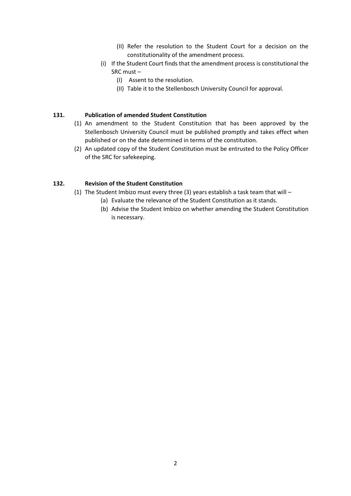- (II) Refer the resolution to the Student Court for a decision on the constitutionality of the amendment process.
- (i) If the Student Court finds that the amendment process is constitutional the SRC must –
	- (I) Assent to the resolution.
	- (II) Table it to the Stellenbosch University Council for approval.

## **131. Publication of amended Student Constitution**

- (1) An amendment to the Student Constitution that has been approved by the Stellenbosch University Council must be published promptly and takes effect when published or on the date determined in terms of the constitution.
- (2) An updated copy of the Student Constitution must be entrusted to the Policy Officer of the SRC for safekeeping.

# **132. Revision of the Student Constitution**

- (1) The Student Imbizo must every three (3) years establish a task team that will
	- (a) Evaluate the relevance of the Student Constitution as it stands.
	- (b) Advise the Student Imbizo on whether amending the Student Constitution is necessary.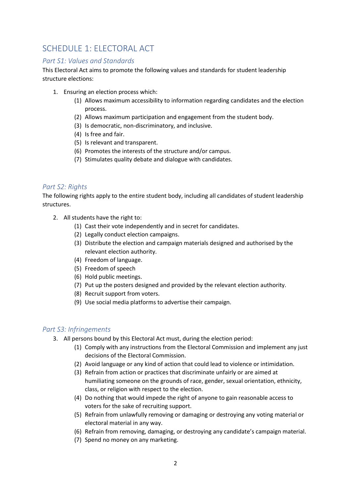# <span id="page-49-0"></span>SCHEDULE 1: ELECTORAL ACT

# <span id="page-49-1"></span>*Part S1: Values and Standards*

This Electoral Act aims to promote the following values and standards for student leadership structure elections:

- 1. Ensuring an election process which:
	- (1) Allows maximum accessibility to information regarding candidates and the election process.
	- (2) Allows maximum participation and engagement from the student body.
	- (3) Is democratic, non-discriminatory, and inclusive.
	- (4) Is free and fair.
	- (5) Is relevant and transparent.
	- (6) Promotes the interests of the structure and/or campus.
	- (7) Stimulates quality debate and dialogue with candidates.

# <span id="page-49-2"></span>*Part S2: Rights*

The following rights apply to the entire student body, including all candidates of student leadership structures.

- 2. All students have the right to:
	- (1) Cast their vote independently and in secret for candidates.
	- (2) Legally conduct election campaigns.
	- (3) Distribute the election and campaign materials designed and authorised by the relevant election authority.
	- (4) Freedom of language.
	- (5) Freedom of speech
	- (6) Hold public meetings.
	- (7) Put up the posters designed and provided by the relevant election authority.
	- (8) Recruit support from voters.
	- (9) Use social media platforms to advertise their campaign.

# <span id="page-49-3"></span>*Part S3: Infringements*

- 3. All persons bound by this Electoral Act must, during the election period:
	- (1) Comply with any instructions from the Electoral Commission and implement any just decisions of the Electoral Commission.
	- (2) Avoid language or any kind of action that could lead to violence or intimidation.
	- (3) Refrain from action or practices that discriminate unfairly or are aimed at humiliating someone on the grounds of race, gender, sexual orientation, ethnicity, class, or religion with respect to the election.
	- (4) Do nothing that would impede the right of anyone to gain reasonable access to voters for the sake of recruiting support.
	- (5) Refrain from unlawfully removing or damaging or destroying any voting material or electoral material in any way.
	- (6) Refrain from removing, damaging, or destroying any candidate's campaign material.
	- (7) Spend no money on any marketing.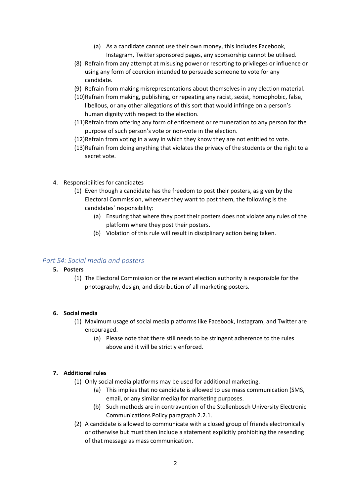- (a) As a candidate cannot use their own money, this includes Facebook, Instagram, Twitter sponsored pages, any sponsorship cannot be utilised.
- (8) Refrain from any attempt at misusing power or resorting to privileges or influence or using any form of coercion intended to persuade someone to vote for any candidate.
- (9) Refrain from making misrepresentations about themselves in any election material.
- (10)Refrain from making, publishing, or repeating any racist, sexist, homophobic, false, libellous, or any other allegations of this sort that would infringe on a person's human dignity with respect to the election.
- (11)Refrain from offering any form of enticement or remuneration to any person for the purpose of such person's vote or non-vote in the election.
- (12)Refrain from voting in a way in which they know they are not entitled to vote.
- (13)Refrain from doing anything that violates the privacy of the students or the right to a secret vote.
- 4. Responsibilities for candidates
	- (1) Even though a candidate has the freedom to post their posters, as given by the Electoral Commission, wherever they want to post them, the following is the candidates' responsibility:
		- (a) Ensuring that where they post their posters does not violate any rules of the platform where they post their posters.
		- (b) Violation of this rule will result in disciplinary action being taken.

# <span id="page-50-0"></span>*Part S4: Social media and posters*

# **5. Posters**

(1) The Electoral Commission or the relevant election authority is responsible for the photography, design, and distribution of all marketing posters.

# **6. Social media**

- (1) Maximum usage of social media platforms like Facebook, Instagram, and Twitter are encouraged.
	- (a) Please note that there still needs to be stringent adherence to the rules above and it will be strictly enforced.

# **7. Additional rules**

- (1) Only social media platforms may be used for additional marketing.
	- (a) This implies that no candidate is allowed to use mass communication (SMS, email, or any similar media) for marketing purposes.
	- (b) Such methods are in contravention of the Stellenbosch University Electronic Communications Policy paragraph 2.2.1.
- (2) A candidate is allowed to communicate with a closed group of friends electronically or otherwise but must then include a statement explicitly prohibiting the resending of that message as mass communication.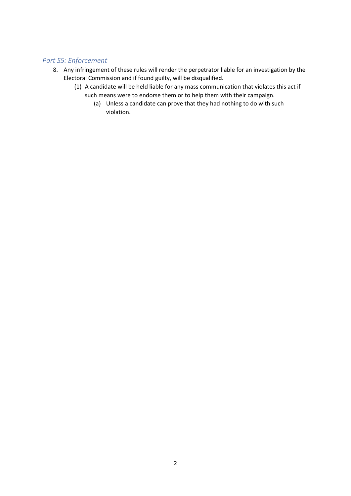# <span id="page-51-0"></span>*Part S5: Enforcement*

- 8. Any infringement of these rules will render the perpetrator liable for an investigation by the Electoral Commission and if found guilty, will be disqualified.
	- (1) A candidate will be held liable for any mass communication that violates this act if such means were to endorse them or to help them with their campaign.
		- (a) Unless a candidate can prove that they had nothing to do with such violation.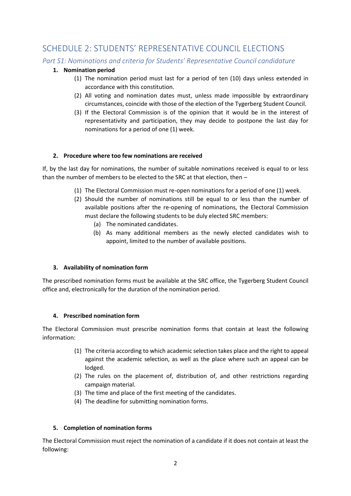# <span id="page-52-0"></span>SCHEDULE 2: STUDENTS' REPRESENTATIVE COUNCIL ELECTIONS

<span id="page-52-1"></span>*Part S1: Nominations and criteria for Students' Representative Council candidature*

# **1. Nomination period**

- (1) The nomination period must last for a period of ten (10) days unless extended in accordance with this constitution.
- (2) All voting and nomination dates must, unless made impossible by extraordinary circumstances, coincide with those of the election of the Tygerberg Student Council.
- (3) If the Electoral Commission is of the opinion that it would be in the interest of representativity and participation, they may decide to postpone the last day for nominations for a period of one (1) week.

# **2. Procedure where too few nominations are received**

If, by the last day for nominations, the number of suitable nominations received is equal to or less than the number of members to be elected to the SRC at that election, then –

- (1) The Electoral Commission must re-open nominations for a period of one (1) week.
- (2) Should the number of nominations still be equal to or less than the number of available positions after the re-opening of nominations, the Electoral Commission must declare the following students to be duly elected SRC members:
	- (a) The nominated candidates.
	- (b) As many additional members as the newly elected candidates wish to appoint, limited to the number of available positions.

# **3. Availability of nomination form**

The prescribed nomination forms must be available at the SRC office, the Tygerberg Student Council office and, electronically for the duration of the nomination period.

# **4. Prescribed nomination form**

The Electoral Commission must prescribe nomination forms that contain at least the following information:

- (1) The criteria according to which academic selection takes place and the right to appeal against the academic selection, as well as the place where such an appeal can be lodged.
- (2) The rules on the placement of, distribution of, and other restrictions regarding campaign material.
- (3) The time and place of the first meeting of the candidates.
- (4) The deadline for submitting nomination forms.

# **5. Completion of nomination forms**

The Electoral Commission must reject the nomination of a candidate if it does not contain at least the following: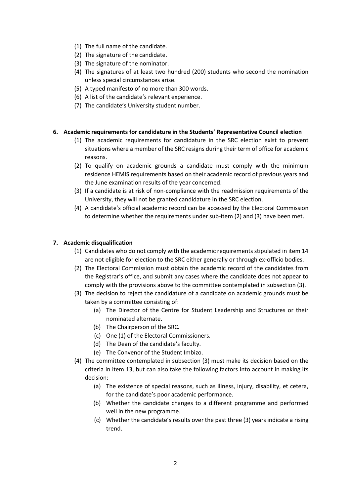- (1) The full name of the candidate.
- (2) The signature of the candidate.
- (3) The signature of the nominator.
- (4) The signatures of at least two hundred (200) students who second the nomination unless special circumstances arise.
- (5) A typed manifesto of no more than 300 words.
- (6) A list of the candidate's relevant experience.
- (7) The candidate's University student number.

#### **6. Academic requirements for candidature in the Students' Representative Council election**

- (1) The academic requirements for candidature in the SRC election exist to prevent situations where a member of the SRC resigns during their term of office for academic reasons.
- (2) To qualify on academic grounds a candidate must comply with the minimum residence HEMIS requirements based on their academic record of previous years and the June examination results of the year concerned.
- (3) If a candidate is at risk of non-compliance with the readmission requirements of the University, they will not be granted candidature in the SRC election.
- (4) A candidate's official academic record can be accessed by the Electoral Commission to determine whether the requirements under sub-item (2) and (3) have been met.

#### **7. Academic disqualification**

- (1) Candidates who do not comply with the academic requirements stipulated in item 14 are not eligible for election to the SRC either generally or through ex-officio bodies.
- (2) The Electoral Commission must obtain the academic record of the candidates from the Registrar's office, and submit any cases where the candidate does not appear to comply with the provisions above to the committee contemplated in subsection (3).
- (3) The decision to reject the candidature of a candidate on academic grounds must be taken by a committee consisting of:
	- (a) The Director of the Centre for Student Leadership and Structures or their nominated alternate.
	- (b) The Chairperson of the SRC.
	- (c) One (1) of the Electoral Commissioners.
	- (d) The Dean of the candidate's faculty.
	- (e) The Convenor of the Student Imbizo.
- (4) The committee contemplated in subsection (3) must make its decision based on the criteria in item 13, but can also take the following factors into account in making its decision:
	- (a) The existence of special reasons, such as illness, injury, disability, et cetera, for the candidate's poor academic performance.
	- (b) Whether the candidate changes to a different programme and performed well in the new programme.
	- (c) Whether the candidate's results over the past three (3) years indicate a rising trend.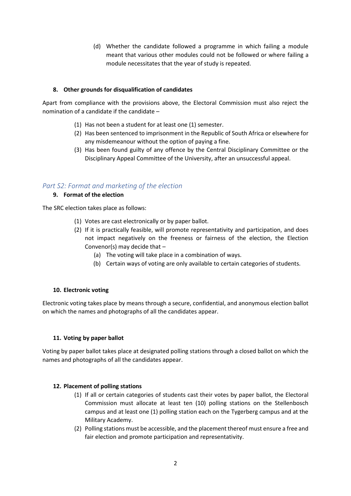(d) Whether the candidate followed a programme in which failing a module meant that various other modules could not be followed or where failing a module necessitates that the year of study is repeated.

## **8. Other grounds for disqualification of candidates**

Apart from compliance with the provisions above, the Electoral Commission must also reject the nomination of a candidate if the candidate –

- (1) Has not been a student for at least one (1) semester.
- (2) Has been sentenced to imprisonment in the Republic of South Africa or elsewhere for any misdemeanour without the option of paying a fine.
- (3) Has been found guilty of any offence by the Central Disciplinary Committee or the Disciplinary Appeal Committee of the University, after an unsuccessful appeal.

# <span id="page-54-0"></span>*Part S2: Format and marketing of the election*

#### **9. Format of the election**

The SRC election takes place as follows:

- (1) Votes are cast electronically or by paper ballot.
- (2) If it is practically feasible, will promote representativity and participation, and does not impact negatively on the freeness or fairness of the election, the Election Convenor(s) may decide that  $-$ 
	- (a) The voting will take place in a combination of ways.
	- (b) Certain ways of voting are only available to certain categories of students.

#### **10. Electronic voting**

Electronic voting takes place by means through a secure, confidential, and anonymous election ballot on which the names and photographs of all the candidates appear.

#### **11. Voting by paper ballot**

Voting by paper ballot takes place at designated polling stations through a closed ballot on which the names and photographs of all the candidates appear.

#### **12. Placement of polling stations**

- (1) If all or certain categories of students cast their votes by paper ballot, the Electoral Commission must allocate at least ten (10) polling stations on the Stellenbosch campus and at least one (1) polling station each on the Tygerberg campus and at the Military Academy.
- (2) Polling stations must be accessible, and the placement thereof must ensure a free and fair election and promote participation and representativity.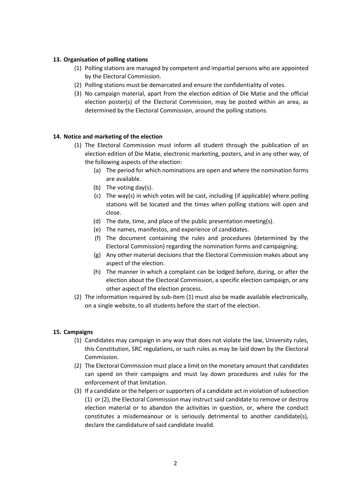## **13. Organisation of polling stations**

- (1) Polling stations are managed by competent and impartial persons who are appointed by the Electoral Commission.
- (2) Polling stations must be demarcated and ensure the confidentiality of votes.
- (3) No campaign material, apart from the election edition of Die Matie and the official election poster(s) of the Electoral Commission, may be posted within an area, as determined by the Electoral Commission, around the polling stations.

#### **14. Notice and marketing of the election**

- (1) The Electoral Commission must inform all student through the publication of an election edition of Die Matie, electronic marketing, posters, and in any other way, of the following aspects of the election:
	- (a) The period for which nominations are open and where the nomination forms are available.
	- (b) The voting day(s).
	- (c) The way(s) in which votes will be cast, including (if applicable) where polling stations will be located and the times when polling stations will open and close.
	- (d) The date, time, and place of the public presentation meeting(s).
	- (e) The names, manifestos, and experience of candidates.
	- (f) The document containing the rules and procedures (determined by the Electoral Commission) regarding the nomination forms and campaigning.
	- (g) Any other material decisions that the Electoral Commission makes about any aspect of the election.
	- (h) The manner in which a complaint can be lodged before, during, or after the election about the Electoral Commission, a specific election campaign, or any other aspect of the election process.
- (2) The information required by sub-item (1) must also be made available electronically, on a single website, to all students before the start of the election.

#### **15. Campaigns**

- (1) Candidates may campaign in any way that does not violate the law, University rules, this Constitution, SRC regulations, or such rules as may be laid down by the Electoral Commission.
- (2) The Electoral Commission must place a limit on the monetary amount that candidates can spend on their campaigns and must lay down procedures and rules for the enforcement of that limitation.
- (3) If a candidate or the helpers or supporters of a candidate act in violation of subsection (1) or (2), the Electoral Commission may instruct said candidate to remove or destroy election material or to abandon the activities in question, or, where the conduct constitutes a misdemeanour or is seriously detrimental to another candidate(s), declare the candidature of said candidate invalid.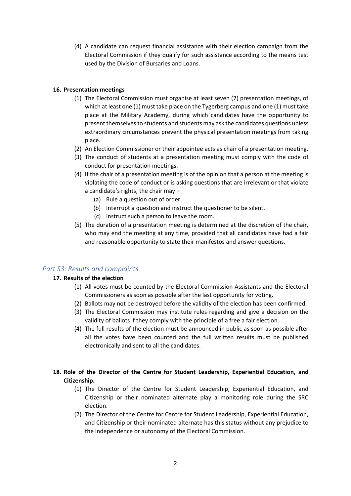(4) A candidate can request financial assistance with their election campaign from the Electoral Commission if they qualify for such assistance according to the means test used by the Division of Bursaries and Loans.

## **16. Presentation meetings**

- (1) The Electoral Commission must organise at least seven (7) presentation meetings, of which at least one (1) must take place on the Tygerberg campus and one (1) must take place at the Military Academy, during which candidates have the opportunity to present themselves to students and students may ask the candidates questions unless extraordinary circumstances prevent the physical presentation meetings from taking place.
- (2) An Election Commissioner or their appointee acts as chair of a presentation meeting.
- (3) The conduct of students at a presentation meeting must comply with the code of conduct for presentation meetings.
- (4) If the chair of a presentation meeting is of the opinion that a person at the meeting is violating the code of conduct or is asking questions that are irrelevant or that violate a candidate's rights, the chair may –
	- (a) Rule a question out of order.
	- (b) Interrupt a question and instruct the questioner to be silent.
	- (c) Instruct such a person to leave the room.
- (5) The duration of a presentation meeting is determined at the discretion of the chair, who may end the meeting at any time, provided that all candidates have had a fair and reasonable opportunity to state their manifestos and answer questions.

# <span id="page-56-0"></span>*Part S3: Results and complaints*

#### **17. Results of the election**

- (1) All votes must be counted by the Electoral Commission Assistants and the Electoral Commissioners as soon as possible after the last opportunity for voting.
- (2) Ballots may not be destroyed before the validity of the election has been confirmed.
- (3) The Electoral Commission may institute rules regarding and give a decision on the validity of ballots if they comply with the principle of a free a fair election.
- (4) The full results of the election must be announced in public as soon as possible after all the votes have been counted and the full written results must be published electronically and sent to all the candidates.
- **18. Role of the Director of the Centre for Student Leadership, Experiential Education, and Citizenship.** 
	- (1) The Director of the Centre for Student Leadership, Experiential Education, and Citizenship or their nominated alternate play a monitoring role during the SRC election.
	- (2) The Director of the Centre for Centre for Student Leadership, Experiential Education, and Citizenship or their nominated alternate has this status without any prejudice to the independence or autonomy of the Electoral Commission.